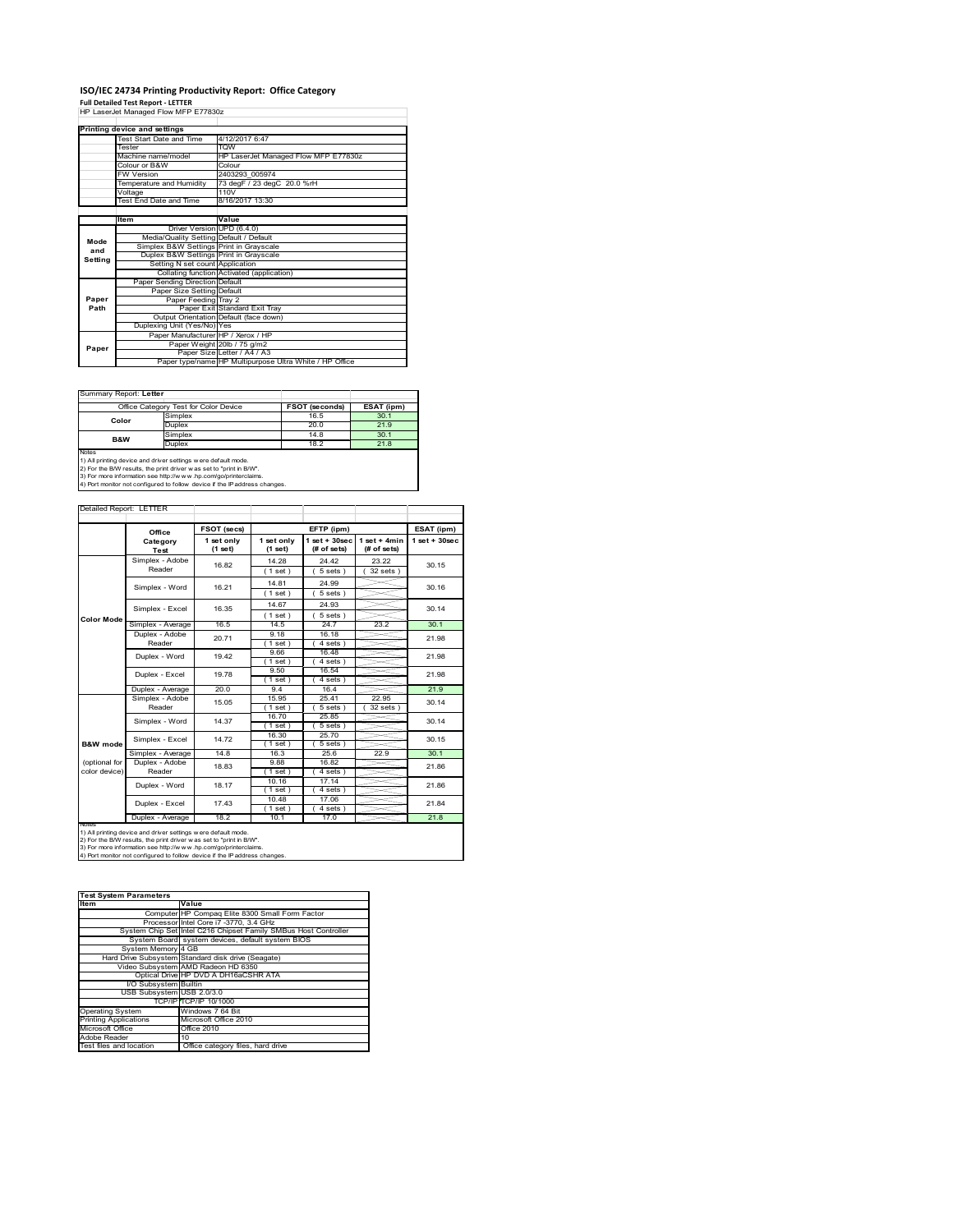# **ISO/IEC 24734 Printing Productivity Report: Office Category Full Detailed Test Report ‐ LETTER** HP LaserJet Managed Flow MFP E77830z

|         | Printing device and settings            |                                                         |  |
|---------|-----------------------------------------|---------------------------------------------------------|--|
|         | Test Start Date and Time                | 4/12/2017 6:47                                          |  |
|         | Tester                                  | <b>TOW</b>                                              |  |
|         | Machine name/model                      | HP LaserJet Managed Flow MFP E77830z                    |  |
|         | Colour or B&W                           | Colour                                                  |  |
|         | <b>FW Version</b>                       | 2403293 005974                                          |  |
|         | Temperature and Humidity                | 73 degF / 23 degC 20.0 %rH                              |  |
|         | Voltage                                 | 110V                                                    |  |
|         | Test End Date and Time                  | 8/16/2017 13:30                                         |  |
|         |                                         |                                                         |  |
|         | Item                                    | Value                                                   |  |
|         | Driver Version UPD (6.4.0)              |                                                         |  |
| Mode    | Media/Quality Setting Default / Default |                                                         |  |
| and     | Simplex B&W Settings Print in Grayscale |                                                         |  |
| Settina | Duplex B&W Settings Print in Grayscale  |                                                         |  |
|         | Setting N set count Application         |                                                         |  |
|         |                                         | Collating function Activated (application)              |  |
|         | Paper Sending Direction Default         |                                                         |  |
|         | Paper Size Setting Default              |                                                         |  |
| Paper   | Paper Feeding Tray 2                    |                                                         |  |
| Path    |                                         | Paper Exit Standard Exit Tray                           |  |
|         |                                         | Output Orientation Default (face down)                  |  |
|         | Duplexing Unit (Yes/No) Yes             |                                                         |  |
|         | Paper Manufacturer HP / Xerox / HP      |                                                         |  |
| Paper   |                                         | Paper Weight 20lb / 75 g/m2                             |  |
|         |                                         | Paper Size Letter / A4 / A3                             |  |
|         |                                         | Paper type/name HP Multipurpose Ultra White / HP Office |  |

 $\overline{\phantom{0}}$ 

#### Summary Report: **Letter**

|                | Office Category Test for Color Device | <b>FSOT (seconds)</b> | ESAT (ipm) |
|----------------|---------------------------------------|-----------------------|------------|
| Color          | Simplex                               | 16.5                  | 30.1       |
|                | Duplex                                | 20.0                  | 21.9       |
| <b>B&amp;W</b> | Simplex                               | 14.8                  | 30.1       |
|                | Duplex                                | 18.2                  | 21.8       |
| Notes          |                                       |                       |            |

Notes<br>1) All printing device and driver settings were default mode.<br>2) For the B/W results, the print driver was set to "print in B/W".<br>3) For more information see http://www.vhp.com/go/printerclaims.<br>4) Por more informati

| FSOT (secs)<br>1 set only<br>(1 set)<br>16.82<br>16.21 | 1 set only<br>(1 set)<br>14.28<br>(1 set)                              | EFTP (ipm)<br>$1$ set + $30$ sec<br>(# of sets)<br>24.42                                                                                                            | $1$ set + 4min<br>(# of sets) | ESAT (ipm)<br>$1$ set + $30$ sec |
|--------------------------------------------------------|------------------------------------------------------------------------|---------------------------------------------------------------------------------------------------------------------------------------------------------------------|-------------------------------|----------------------------------|
|                                                        |                                                                        |                                                                                                                                                                     |                               |                                  |
|                                                        |                                                                        |                                                                                                                                                                     |                               |                                  |
|                                                        |                                                                        |                                                                                                                                                                     | 23.22                         | 30.15                            |
|                                                        |                                                                        | 5 sets                                                                                                                                                              | $32$ sets $)$                 |                                  |
|                                                        | 14.81                                                                  | 24.99                                                                                                                                                               |                               | 30.16                            |
|                                                        | (1 set)                                                                | 5 sets                                                                                                                                                              |                               |                                  |
| 16.35                                                  | 14.67                                                                  | 24.93                                                                                                                                                               |                               | 30.14                            |
|                                                        | $1$ set)                                                               | $5 sets$ )                                                                                                                                                          |                               |                                  |
| 16.5                                                   | 14.5                                                                   | 24.7                                                                                                                                                                | 23.2                          | 30.1                             |
| 20.71                                                  | 9.18                                                                   | 16.18                                                                                                                                                               |                               | 21.98                            |
|                                                        | (1 set)                                                                | 4 sets 1                                                                                                                                                            |                               |                                  |
| 19.42                                                  | 966                                                                    | 1648                                                                                                                                                                |                               | 21.98                            |
|                                                        | $1$ set)                                                               | $4 sets$ )                                                                                                                                                          |                               |                                  |
| 19.78                                                  | 9.50                                                                   | 16.54                                                                                                                                                               |                               | 21.98                            |
|                                                        | $1$ set)                                                               | 4 sets                                                                                                                                                              |                               |                                  |
| 20.0                                                   | 94                                                                     | 16.4                                                                                                                                                                |                               | 21.9                             |
| 15.05                                                  | 15.95                                                                  | 25.41                                                                                                                                                               | 22.95                         | 30.14<br>30.14                   |
|                                                        | (1 set)                                                                | 5 sets )                                                                                                                                                            | 32 sets                       |                                  |
| 14.37                                                  | 16.70                                                                  | 25.85                                                                                                                                                               |                               |                                  |
|                                                        | 1 set )                                                                | $5 sets$ )                                                                                                                                                          |                               |                                  |
| 14.72                                                  | 16.30                                                                  | 25.70                                                                                                                                                               |                               | 30.15                            |
|                                                        | $1$ set)                                                               | $5 sets$ )                                                                                                                                                          |                               |                                  |
| 14.8                                                   | 16.3                                                                   | 25.6                                                                                                                                                                | 22.9                          | 30.1                             |
| 18.83                                                  | 9.88                                                                   | 16.82                                                                                                                                                               |                               | 21.86                            |
|                                                        | $1$ set $)$                                                            | 4 sets                                                                                                                                                              |                               |                                  |
| 18.17                                                  | 10.16                                                                  | 17.14                                                                                                                                                               |                               | 21.86                            |
|                                                        | $1$ set $)$                                                            | 4 sets                                                                                                                                                              |                               |                                  |
| 17.43                                                  |                                                                        |                                                                                                                                                                     |                               | 21.84                            |
|                                                        |                                                                        |                                                                                                                                                                     |                               | 21.8                             |
| Duplex - Average<br><b>INOTES</b>                      |                                                                        |                                                                                                                                                                     |                               |                                  |
|                                                        | 18.2<br>1) All printing device and driver settings w ere default mode. | 10.48<br>$1$ set)<br>10.1<br>2) For the B/W results, the print driver was set to "print in B/W".<br>3) For more information see http://www.hp.com/go/printerclaims. | 17.06<br>4 sets<br>17.0       |                                  |

| <b>Test System Parameters</b> |                                                                 |  |  |
|-------------------------------|-----------------------------------------------------------------|--|--|
| Item                          | Value                                                           |  |  |
|                               | Computer HP Compaq Elite 8300 Small Form Factor                 |  |  |
|                               | Processor Intel Core i7 -3770, 3.4 GHz                          |  |  |
|                               | System Chip Set Intel C216 Chipset Family SMBus Host Controller |  |  |
|                               | System Board system devices, default system BIOS                |  |  |
| System Memory 4 GB            |                                                                 |  |  |
|                               | Hard Drive Subsystem Standard disk drive (Seagate)              |  |  |
|                               | Video Subsystem AMD Radeon HD 6350                              |  |  |
|                               | Optical Drive HP DVD A DH16aCSHR ATA                            |  |  |
| I/O Subsystem Builtin         |                                                                 |  |  |
| USB Subsystem USB 2.0/3.0     |                                                                 |  |  |
|                               | TCP/IPITCP/IP 10/1000                                           |  |  |
| <b>Operating System</b>       | Windows 7 64 Bit                                                |  |  |
| <b>Printing Applications</b>  | Microsoft Office 2010                                           |  |  |
| Microsoft Office              | Office 2010                                                     |  |  |
| Adobe Reader                  | 10                                                              |  |  |
| Test files and location       | Office category files, hard drive                               |  |  |
|                               |                                                                 |  |  |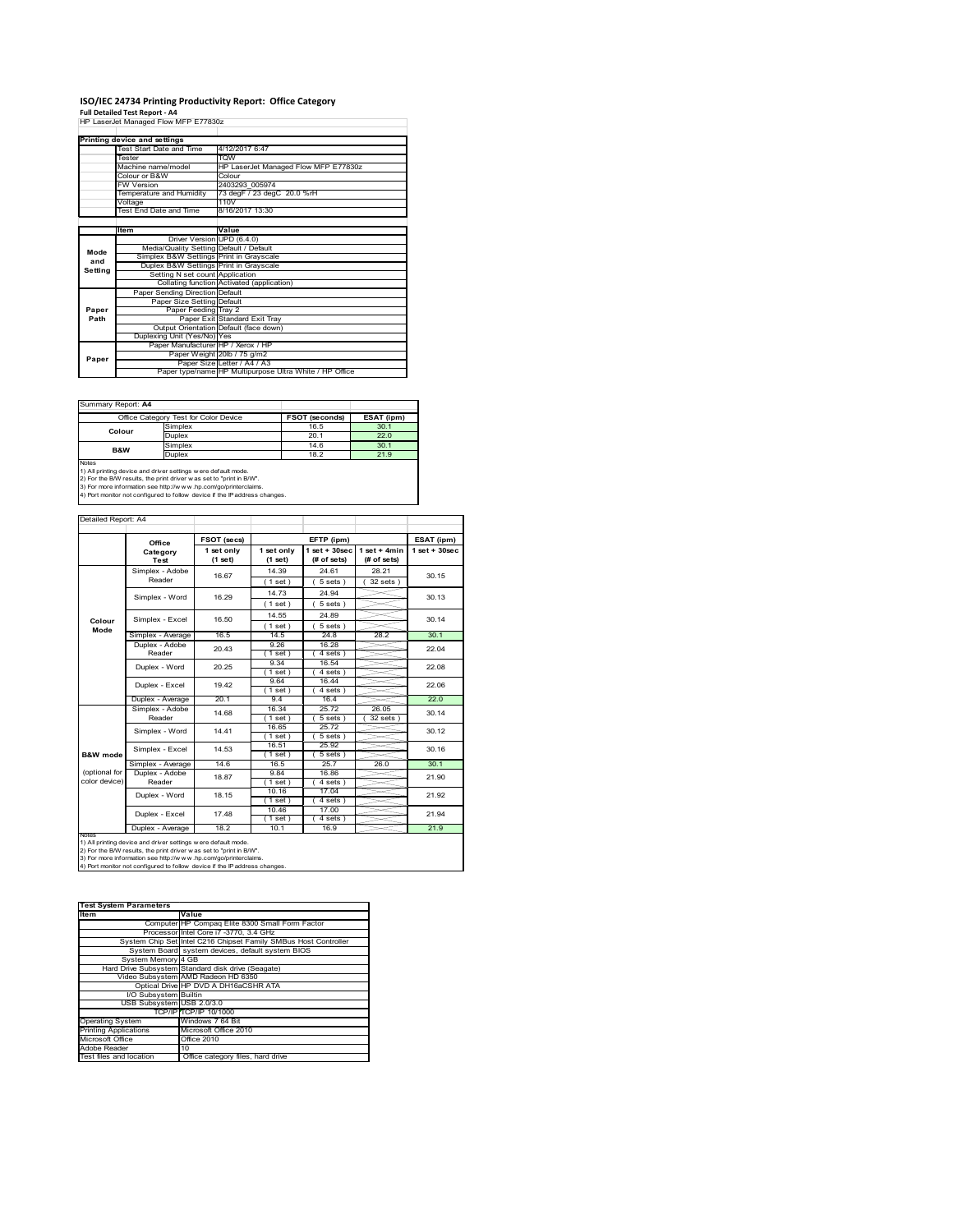# **ISO/IEC 24734 Printing Productivity Report: Office Category Full Detailed Test Report ‐ A4** HP LaserJet Managed Flow MFP E77830z

|         | HP LaserJet Managed Flow MFP E77830z    |                                                         |
|---------|-----------------------------------------|---------------------------------------------------------|
|         |                                         |                                                         |
|         | Printing device and settings            |                                                         |
|         | Test Start Date and Time                | 4/12/2017 6:47                                          |
|         | Tester                                  | <b>WOT</b>                                              |
|         | Machine name/model                      | HP LaserJet Managed Flow MFP E77830z                    |
|         | Colour or B&W                           | Colour                                                  |
|         | <b>FW Version</b>                       | 2403293 005974                                          |
|         | Temperature and Humidity                | 73 degF / 23 degC 20.0 %rH                              |
|         | Voltage                                 | 110V                                                    |
|         | Test End Date and Time                  | 8/16/2017 13:30                                         |
|         |                                         |                                                         |
|         | <b>Item</b>                             | Value                                                   |
|         | Driver Version UPD (6.4.0)              |                                                         |
| Mode    | Media/Quality Setting Default / Default |                                                         |
| and     | Simplex B&W Settings Print in Grayscale |                                                         |
| Setting | Duplex B&W Settings Print in Grayscale  |                                                         |
|         | Setting N set count Application         |                                                         |
|         |                                         | Collating function Activated (application)              |
|         | Paper Sending Direction Default         |                                                         |
|         | Paper Size Setting Default              |                                                         |
| Paper   | Paper Feeding Tray 2                    |                                                         |
| Path    |                                         | Paper Exit Standard Exit Tray                           |
|         |                                         | Output Orientation Default (face down)                  |
|         | Duplexing Unit (Yes/No) Yes             |                                                         |
|         | Paper Manufacturer HP / Xerox / HP      |                                                         |
| Paper   |                                         | Paper Weight 20lb / 75 g/m2                             |
|         |                                         | Paper Size Letter / A4 / A3                             |
|         |                                         | Paper type/name HP Multipurpose Ultra White / HP Office |

Summary Report: **A4**

|                | Office Category Test for Color Device | FSOT (seconds) | ESAT (ipm) |
|----------------|---------------------------------------|----------------|------------|
| Colour         | Simplex                               | 16.5           | 30.1       |
|                | Duplex                                | 20.1           | 22.0       |
| <b>B&amp;W</b> | Simplex                               | 14.6           | 30.1       |
|                | Duplex                                | 18.2           | 21.9       |
| Notes          |                                       |                |            |

Notes<br>1) All printing device and driver settings were default mode.<br>2) For the B/W results, the print driver was set to "print in B/W".<br>3) For more information see http://www.hp.com/go/printerclaims.<br>4) Por more informatio

| Detailed Report: A4 |                                     |                       |                         |                                   |                               |                   |
|---------------------|-------------------------------------|-----------------------|-------------------------|-----------------------------------|-------------------------------|-------------------|
|                     | Office                              | FSOT (secs)           |                         | EFTP (ipm)                        |                               | ESAT (ipm)        |
|                     | Category<br>Test                    | 1 set only<br>(1 set) | 1 set only<br>$(1$ set) | $1$ set + $30$ sec<br>(# of sets) | $1$ set + 4min<br>(# of sets) | $1$ set $+30$ sec |
|                     | Simplex - Adobe                     | 16.67                 | 14.39                   | 24.61                             | 28.21                         | 30.15             |
|                     | Reader                              |                       | (1 set)                 | $5 sets$ )                        | 32 sets                       |                   |
|                     | Simplex - Word                      | 16.29                 | 14.73                   | 24.94                             |                               | 30.13             |
|                     |                                     |                       | $1$ set)                | 5 sets)                           |                               |                   |
|                     | Simplex - Excel                     | 16.50                 | 14.55                   | 24.89                             |                               | 30.14             |
| Colour<br>Mode      |                                     |                       | (1 set)                 | 5 sets)                           |                               |                   |
|                     | Simplex - Average                   | 16.5                  | 14.5                    | 24.8                              | 28.2                          | 30.1              |
|                     | Duplex - Adobe                      | 20.43                 | 9.26                    | 16.28                             |                               | 22.04             |
|                     | Reader                              |                       | 1 set)                  | 4 sets)                           |                               |                   |
|                     | Duplex - Word                       | 20.25                 | 9.34                    | 16.54                             |                               | 22.08             |
|                     |                                     |                       | $1$ set)                | $4 sets$ )                        |                               |                   |
|                     | Duplex - Excel                      | 19.42                 | 9.64                    | 16.44                             |                               | 22.06             |
|                     |                                     | 20.1                  | $1$ set)<br>94          | 4 sets<br>16.4                    |                               | 22.0              |
|                     | Duplex - Average<br>Simplex - Adobe |                       | 16.34                   | 25.72                             | 26.05                         |                   |
|                     | Reader                              | 14.68                 | $1$ set)                | 5 sets )                          | 32 sets                       | 30.14             |
|                     |                                     | 14.41                 | 16.65                   | 25.72                             |                               | 30.12             |
|                     | Simplex - Word                      |                       | $1$ set)                | $5 sets$ )                        |                               |                   |
|                     |                                     | 14.53                 | 16.51                   | 25.92                             |                               | 30.16             |
| B&W mode            | Simplex - Excel                     |                       | $1$ set)                | 5 sets                            |                               |                   |
|                     | Simplex - Average                   | 14.6                  | 16.5                    | 25.7                              | 26.0                          | 30.1              |
| (optional for       | Duplex - Adobe                      | 18.87                 | 9.84                    | 16.86                             |                               | 21.90             |
| color device)       | Reader                              |                       | $1$ set)                | $4 sets$ )                        |                               |                   |
|                     | Duplex - Word                       | 18.15                 | 10.16                   | 17.04                             |                               | 21.92             |
|                     |                                     |                       | (1 set)                 | 4 sets)                           |                               |                   |
|                     | Duplex - Excel                      | 17.48                 | 10.46<br>$1$ set)       | 17.00<br>4 sets                   |                               | 21.94             |
|                     | Duplex - Average                    | 18.2                  | 10.1                    | 16.9                              |                               | 21.9              |
| <b>INOTES</b>       |                                     |                       |                         |                                   |                               |                   |

notes<br>1) All printing device and driver settings w ere default mode.<br>2) For the B/W results, the print driver was set to "print in B/W".<br>3) For more information see http://www.vhp.com/go/printerclaims.<br>4) For more informat

| <b>Test System Parameters</b> |                                                                 |
|-------------------------------|-----------------------------------------------------------------|
| <b>Item</b>                   | Value                                                           |
|                               | Computer HP Compaq Elite 8300 Small Form Factor                 |
|                               | Processor Intel Core i7 -3770, 3.4 GHz                          |
|                               | System Chip Set Intel C216 Chipset Family SMBus Host Controller |
|                               | System Board system devices, default system BIOS                |
| System Memory 4 GB            |                                                                 |
|                               | Hard Drive Subsystem Standard disk drive (Seagate)              |
|                               | Video Subsystem AMD Radeon HD 6350                              |
|                               | Optical Drive HP DVD A DH16aCSHR ATA                            |
| I/O Subsystem Builtin         |                                                                 |
| USB Subsystem USB 2.0/3.0     |                                                                 |
|                               | TCP/IPITCP/IP 10/1000                                           |
| <b>Operating System</b>       | Windows 7 64 Bit                                                |
| <b>Printing Applications</b>  | Microsoft Office 2010                                           |
| Microsoft Office              | Office 2010                                                     |
| Adobe Reader                  | 10                                                              |
| Test files and location       | Office category files, hard drive                               |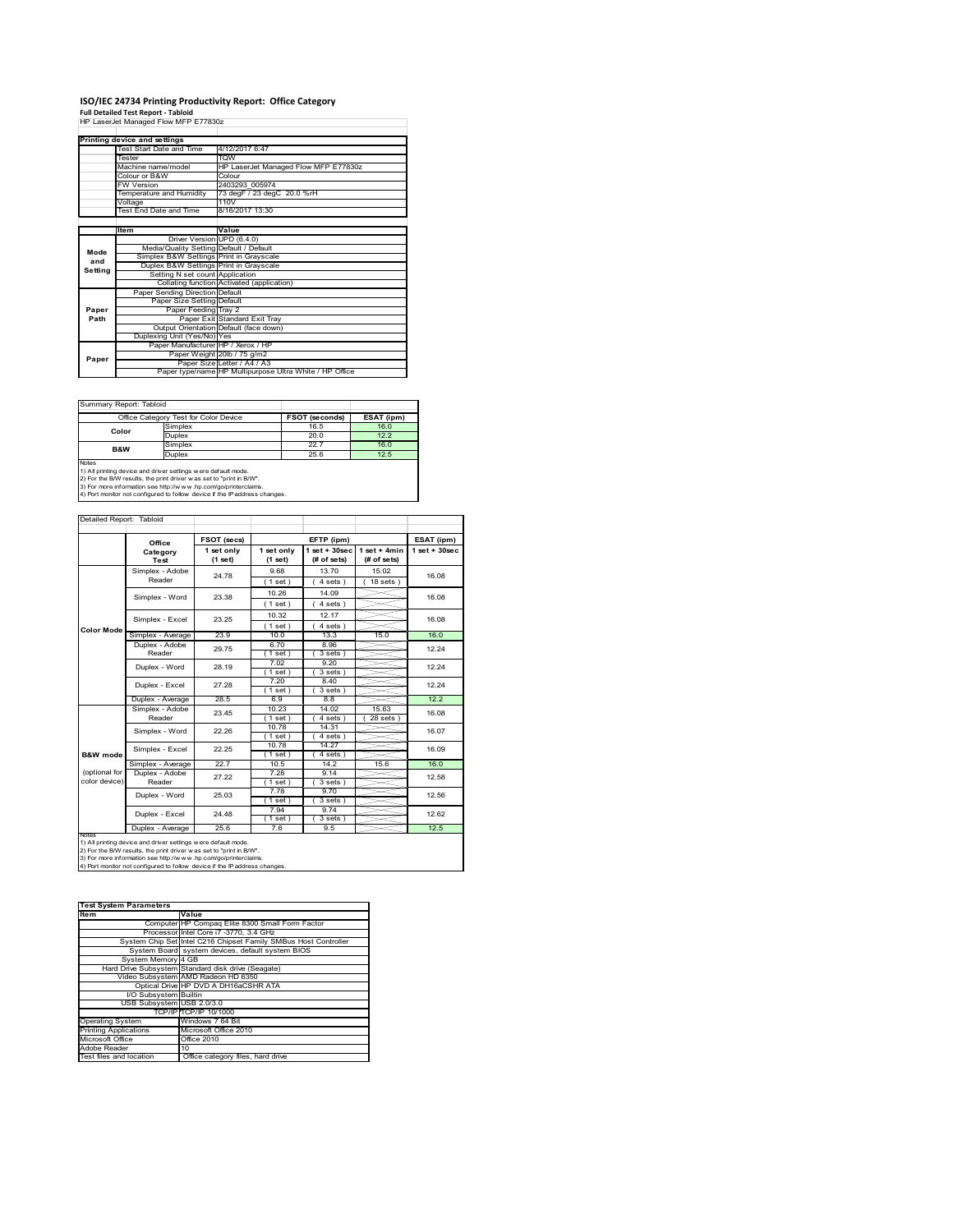# **ISO/IEC 24734 Printing Productivity Report: Office Category Full Detailed Test Report ‐ Tabloid** HP LaserJet Managed Flow MFP E77830z

|         | HP LaserJet Managed Flow MFP E77830z    |                                                         |
|---------|-----------------------------------------|---------------------------------------------------------|
|         |                                         |                                                         |
|         | Printing device and settings            |                                                         |
|         | Test Start Date and Time                | 4/12/2017 6:47                                          |
|         | <b>Tester</b>                           | <b>TOW</b>                                              |
|         | Machine name/model                      | HP LaserJet Managed Flow MFP E77830z                    |
|         | Colour or B&W                           | Colour                                                  |
|         | <b>FW Version</b>                       | 2403293 005974                                          |
|         | Temperature and Humidity                | 73 degF / 23 degC 20.0 %rH                              |
|         | Voltage                                 | 110V                                                    |
|         | Test End Date and Time                  | 8/16/2017 13:30                                         |
|         |                                         |                                                         |
|         | Item                                    | Value                                                   |
|         | Driver Version UPD (6.4.0)              |                                                         |
| Mode    | Media/Quality Setting Default / Default |                                                         |
| and     | Simplex B&W Settings Print in Grayscale |                                                         |
| Setting | Duplex B&W Settings Print in Grayscale  |                                                         |
|         | Setting N set count Application         |                                                         |
|         |                                         | Collating function Activated (application)              |
|         | Paper Sending Direction Default         |                                                         |
|         | Paper Size Setting Default              |                                                         |
| Paper   | Paper Feeding Tray 2                    |                                                         |
| Path    |                                         | Paper Exit Standard Exit Tray                           |
|         |                                         | Output Orientation Default (face down)                  |
|         | Duplexing Unit (Yes/No) Yes             |                                                         |
|         | Paper Manufacturer HP / Xerox / HP      |                                                         |
| Paper   |                                         | Paper Weight 20lb / 75 g/m2                             |
|         |                                         | Paper Size Letter / A4 / A3                             |
|         |                                         | Paper type/name HP Multipurpose Ultra White / HP Office |

Summary Report: Tabloid

| Office Category Test for Color Device                                      |                                                                | <b>FSOT (seconds)</b> | ESAT (ipm) |  |  |  |
|----------------------------------------------------------------------------|----------------------------------------------------------------|-----------------------|------------|--|--|--|
| Color                                                                      | Simplex                                                        | 16.5                  | 16.0       |  |  |  |
|                                                                            | Duplex                                                         | 20.0                  | 12.2       |  |  |  |
| <b>B&amp;W</b>                                                             | Simplex                                                        | 22.7                  | 16.0       |  |  |  |
|                                                                            | <b>Duplex</b>                                                  | 25.6                  |            |  |  |  |
| Notes                                                                      |                                                                |                       |            |  |  |  |
|                                                                            | 1) All printing device and driver settings w ere default mode. |                       |            |  |  |  |
| 2) For the B/W results, the print driver was set to "print in B/W".        |                                                                |                       |            |  |  |  |
| 3) For more information see http://www.hp.com/go/printerclaims.            |                                                                |                       |            |  |  |  |
| 4) Port monitor not configured to follow device if the IP address changes. |                                                                |                       |            |  |  |  |

| Detailed Report: Tabloid       |                           |                                                                |                       |                                   |                               |                    |
|--------------------------------|---------------------------|----------------------------------------------------------------|-----------------------|-----------------------------------|-------------------------------|--------------------|
|                                | Office                    | FSOT (secs)                                                    |                       | EFTP (ipm)                        |                               | ESAT (ipm)         |
|                                | Category<br>Test          | 1 set only<br>(1 set)                                          | 1 set only<br>(1 set) | $1$ set + $30$ sec<br>(# of sets) | $1$ set + 4min<br>(# of sets) | $1$ set + $30$ sec |
|                                | Simplex - Adobe<br>Reader | 24.78                                                          | 9.68<br>(1 set)       | 13.70<br>$4 sets$ )               | 15.02<br>$18$ sets $)$        | 16.08              |
|                                | Simplex - Word            | 23.38                                                          | 10.26                 | 14.09                             |                               | 16.08              |
|                                |                           |                                                                | $1$ set $)$<br>10.32  | $4 sets$ )<br>12.17               |                               |                    |
| <b>Color Mode</b>              | Simplex - Excel           | 23.25                                                          | (1 set)               | 4 sets)                           |                               | 16.08              |
|                                |                           | 23.9<br>Simplex - Average<br>Duplex - Adobe<br>29.75<br>Reader | 10.0                  | 13.3                              | 15.0                          | 16.0               |
|                                |                           |                                                                | 6.70<br>(1 set)       | 8.96<br>3 sets)                   |                               | 12.24              |
|                                | Duplex - Word             | 28.19                                                          | 7.02<br>$1$ set)      | 9.20<br>$3 sets$ )                |                               | 12.24              |
|                                | Duplex - Excel            | 27.28                                                          | 7.20<br>$1$ set)      | 8.40<br>$3 sets$ )                |                               | 12.24              |
|                                | Duplex - Average          | 28.5                                                           | 6.9                   | 8.8                               |                               | 12.2               |
|                                | Simplex - Adobe           |                                                                | 10.23                 | 14.02                             | 15.63                         |                    |
|                                | Reader                    | 23.45                                                          | $1$ set $)$           | $4 sets$ )                        | $28$ sets $)$                 | 16.08              |
|                                | Simplex - Word            | 22.26                                                          | 10.78<br>$1$ set $)$  | 14.31<br>4 sets)                  |                               | 16.07              |
| B&W mode                       | Simplex - Excel           | 22.25                                                          | 10.78<br>$1$ set)     | 14.27<br>$4 sets$ )               |                               | 16.09              |
|                                | Simplex - Average         | 22.7                                                           | 10.5                  | 14.2                              | 15.6                          | 16.0               |
| (optional for<br>color device) | Duplex - Adobe<br>Reader  | 27.22                                                          | 7.28<br>$1$ set)      | 9.14<br>3 sets)                   |                               | 12.58              |
|                                | Duplex - Word             | 25.03                                                          | 7.78<br>$1$ set)      | 9.70<br>3 sets)                   |                               | 12.56              |
|                                | Duplex - Excel            | 24.48                                                          | 7.94<br>$1$ set)      | 9.74<br>3 sets)                   |                               | 12.62              |
|                                | Duplex - Average          | 25.6                                                           | 7.6                   | 9.5                               |                               | 12.5               |

notes<br>1) All printing device and driver settings w ere default mode.<br>2) For the B/W results, the print driver was set to "print in B/W".<br>3) For more information see http://w w.w. r.p.com/go/printerclaims.<br>4) For more infor

| <b>Test System Parameters</b> |                                                                 |
|-------------------------------|-----------------------------------------------------------------|
| <b>Item</b>                   | Value                                                           |
|                               | Computer HP Compaq Elite 8300 Small Form Factor                 |
|                               | Processor Intel Core i7 -3770, 3.4 GHz                          |
|                               | System Chip Set Intel C216 Chipset Family SMBus Host Controller |
|                               | System Board system devices, default system BIOS                |
| System Memory 4 GB            |                                                                 |
|                               | Hard Drive Subsystem Standard disk drive (Seagate)              |
|                               | Video Subsystem AMD Radeon HD 6350                              |
|                               | Optical Drive HP DVD A DH16aCSHR ATA                            |
| I/O Subsystem Builtin         |                                                                 |
| USB Subsystem USB 2.0/3.0     |                                                                 |
|                               | TCP/IPITCP/IP 10/1000                                           |
| <b>Operating System</b>       | Windows 7 64 Bit                                                |
| <b>Printing Applications</b>  | Microsoft Office 2010                                           |
| Microsoft Office              | Office 2010                                                     |
| Adobe Reader                  | 10                                                              |
| Test files and location       | Office category files, hard drive                               |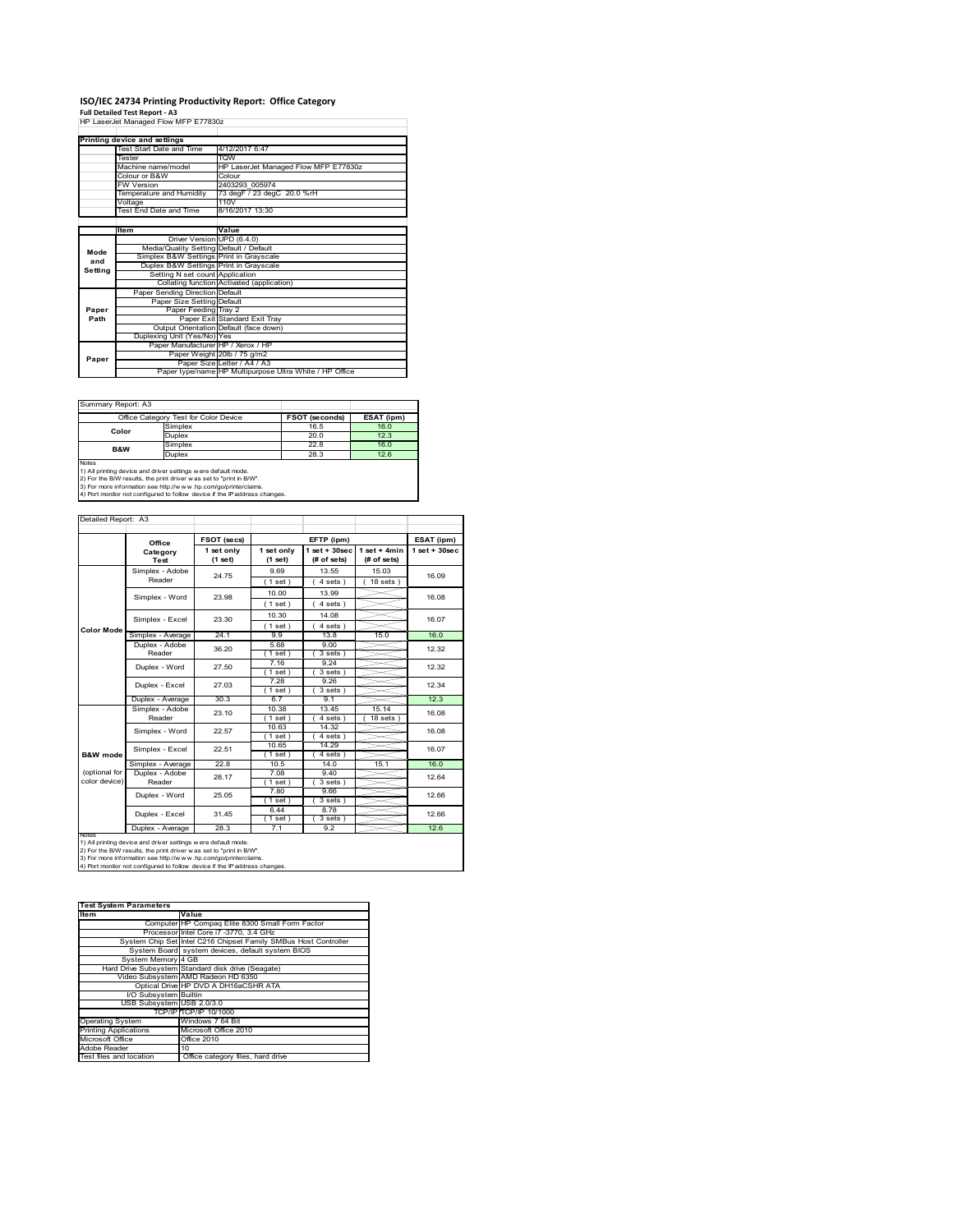# **ISO/IEC 24734 Printing Productivity Report: Office Category Full Detailed Test Report ‐ A3** HP LaserJet Managed Flow MFP E77830z

| HP LaserJet Managed Flow MFP E77830z |                                         |                                                         |  |  |  |
|--------------------------------------|-----------------------------------------|---------------------------------------------------------|--|--|--|
|                                      |                                         |                                                         |  |  |  |
|                                      | Printing device and settings            |                                                         |  |  |  |
|                                      | Test Start Date and Time                | 4/12/2017 6:47                                          |  |  |  |
|                                      | Tester                                  | <b>TOW</b>                                              |  |  |  |
|                                      | Machine name/model                      | HP LaserJet Managed Flow MFP E77830z                    |  |  |  |
|                                      | Colour or B&W                           | Colour                                                  |  |  |  |
|                                      | <b>FW Version</b>                       | 2403293 005974                                          |  |  |  |
|                                      | Temperature and Humidity                | 73 degF / 23 degC 20.0 %rH                              |  |  |  |
|                                      | Voltage                                 | 110V                                                    |  |  |  |
|                                      | Test End Date and Time                  | 8/16/2017 13:30                                         |  |  |  |
|                                      |                                         |                                                         |  |  |  |
|                                      | Item                                    | Value                                                   |  |  |  |
|                                      | Driver Version UPD (6.4.0)              |                                                         |  |  |  |
| Mode                                 | Media/Quality Setting Default / Default |                                                         |  |  |  |
| and                                  | Simplex B&W Settings Print in Grayscale |                                                         |  |  |  |
| Setting                              | Duplex B&W Settings Print in Grayscale  |                                                         |  |  |  |
|                                      | Setting N set count Application         |                                                         |  |  |  |
|                                      |                                         | Collating function Activated (application)              |  |  |  |
|                                      | Paper Sending Direction Default         |                                                         |  |  |  |
|                                      | Paper Size Setting Default              |                                                         |  |  |  |
| Paper                                | Paper Feeding Tray 2                    |                                                         |  |  |  |
| Path                                 |                                         | Paper Exit Standard Exit Tray                           |  |  |  |
|                                      |                                         | Output Orientation Default (face down)                  |  |  |  |
|                                      | Duplexing Unit (Yes/No) Yes             |                                                         |  |  |  |
|                                      | Paper Manufacturer HP / Xerox / HP      |                                                         |  |  |  |
| Paper                                |                                         | Paper Weight 20lb / 75 g/m2                             |  |  |  |
|                                      |                                         | Paper Size Letter / A4 / A3                             |  |  |  |
|                                      |                                         | Paper type/name HP Multipurpose Ultra White / HP Office |  |  |  |

Summary Report: A3

|                | Office Category Test for Color Device                                         | <b>FSOT (seconds)</b> | ESAT (ipm) |
|----------------|-------------------------------------------------------------------------------|-----------------------|------------|
| Color          | Simplex                                                                       | 16.5                  | 16.0       |
|                | Duplex                                                                        | 20.0                  | 12.3       |
| <b>B&amp;W</b> | Simplex                                                                       | 22.8                  | 16.0       |
|                | Duplex                                                                        | 28.3                  | 12.6       |
| Notes          | 43. All scaledors starting must state as a officer to any other states of the |                       |            |

1) All printing device and driver settings were default mode.<br>2) For the B/W results, the print driver was set to "print in B/W".<br>3) For more information see http://www.hp.com/go/printerclaims.<br>4) Port monitor not configur

| Detailed Report: A3 |                           |                       |                         |                                   |                               |                    |
|---------------------|---------------------------|-----------------------|-------------------------|-----------------------------------|-------------------------------|--------------------|
|                     | Office                    | FSOT (secs)           | EFTP (ipm)              |                                   |                               | ESAT (ipm)         |
|                     | Category<br><b>Test</b>   | 1 set only<br>(1 set) | 1 set only<br>$(1$ set) | $1$ set + $30$ sec<br>(# of sets) | $1$ set + 4min<br>(# of sets) | $1$ set + $30$ sec |
|                     | Simplex - Adobe           | 24.75                 | 9.69                    | 13.55                             | 15.03                         | 16.09              |
|                     | Reader                    |                       | $1$ set)                | 4 sets)                           | $18$ sets $)$                 |                    |
|                     | Simplex - Word            | 23.98                 | 10.00                   | 13.99                             |                               | 16.08              |
|                     |                           |                       | $1$ set)                | 4 sets)                           |                               |                    |
|                     | Simplex - Excel           | 23.30                 | 10.30                   | 14.08                             |                               | 16.07              |
| <b>Color Mode</b>   |                           |                       | (1 set)                 | $4 sets$ )                        |                               |                    |
|                     | Simplex - Average         | 24.1                  | 99                      | 13.8                              | 15.0                          | 16.0               |
|                     | Duplex - Adobe            | 36.20                 | 5.68                    | 9.00                              |                               | 12.32              |
|                     | Reader                    |                       | (1 set)                 | 3 sets)                           |                               |                    |
|                     | Duplex - Word             | 27.50                 | 7.16                    | 9.24                              |                               | 12.32              |
|                     |                           |                       | $1$ set)                | 3 sets)                           |                               |                    |
|                     | Duplex - Excel            | 27.03                 | 7.28                    | 9.26                              |                               | 12.34              |
|                     |                           |                       | $1$ set)<br>6.7         | $3 sets$ )<br>9.1                 |                               | 12.3               |
|                     | Duplex - Average          | 30.3                  | 10.38                   | 13.45                             | 15.14                         |                    |
|                     | Simplex - Adobe<br>Reader | 23.10                 | $1$ set $)$             | 4 sets)                           | $18$ sets $1$                 | 16.08              |
|                     |                           | 22.57                 | 10.63                   | 14.32                             |                               |                    |
|                     | Simplex - Word            |                       | $1$ set)                | 4 sets)                           |                               | 16.08              |
|                     |                           |                       | 10.65                   | 14.29                             |                               |                    |
| B&W mode            | Simplex - Excel           | 22.51                 | $1$ set $)$             | $4 sets$ )                        |                               | 16.07              |
|                     | Simplex - Average         | 22.8                  | 10.5                    | 14.0                              | 15.1                          | 16.0               |
| (optional for       | Duplex - Adobe            | 28.17                 | 7.08                    | 9.40                              |                               | 12.64              |
| color device)       | Reader                    |                       | $1$ set)                | $3 sets$ )                        |                               |                    |
|                     | Duplex - Word             | 25.05                 | 7.80                    | 9.66                              |                               | 12.66              |
|                     |                           |                       | $1$ set $)$             | $3$ sets $)$                      |                               |                    |
|                     | Duplex - Excel            | 31.45                 | 6.44                    | 8.78                              |                               | 12.66              |
|                     |                           |                       | $1$ set)                | $3 sets$ )                        |                               |                    |
| <b>INOTES</b>       | Duplex - Average          | 28.3                  | 7.1                     | 9.2                               |                               | 12.6               |

notes<br>1) All printing device and driver settings w ere default mode.<br>2) For the B/W results, the print driver was set to "print in B/W".<br>3) For more information see http://w w.w. r.p.com/go/printerclaims.<br>4) For more infor

| <b>Test System Parameters</b> |                                                                 |  |  |  |
|-------------------------------|-----------------------------------------------------------------|--|--|--|
| <b>Item</b>                   | Value                                                           |  |  |  |
|                               | Computer HP Compaq Elite 8300 Small Form Factor                 |  |  |  |
|                               | Processor Intel Core i7 -3770, 3.4 GHz                          |  |  |  |
|                               | System Chip Set Intel C216 Chipset Family SMBus Host Controller |  |  |  |
|                               | System Board system devices, default system BIOS                |  |  |  |
| System Memory 4 GB            |                                                                 |  |  |  |
|                               | Hard Drive Subsystem Standard disk drive (Seagate)              |  |  |  |
|                               | Video Subsystem AMD Radeon HD 6350                              |  |  |  |
|                               | Optical Drive HP DVD A DH16aCSHR ATA                            |  |  |  |
| I/O Subsystem Builtin         |                                                                 |  |  |  |
| USB Subsystem USB 2.0/3.0     |                                                                 |  |  |  |
|                               | TCP/IPITCP/IP 10/1000                                           |  |  |  |
| <b>Operating System</b>       | Windows 7 64 Bit                                                |  |  |  |
| <b>Printing Applications</b>  | Microsoft Office 2010                                           |  |  |  |
| Microsoft Office              | Office 2010                                                     |  |  |  |
| Adobe Reader                  | 10                                                              |  |  |  |
| Test files and location       | Office category files, hard drive                               |  |  |  |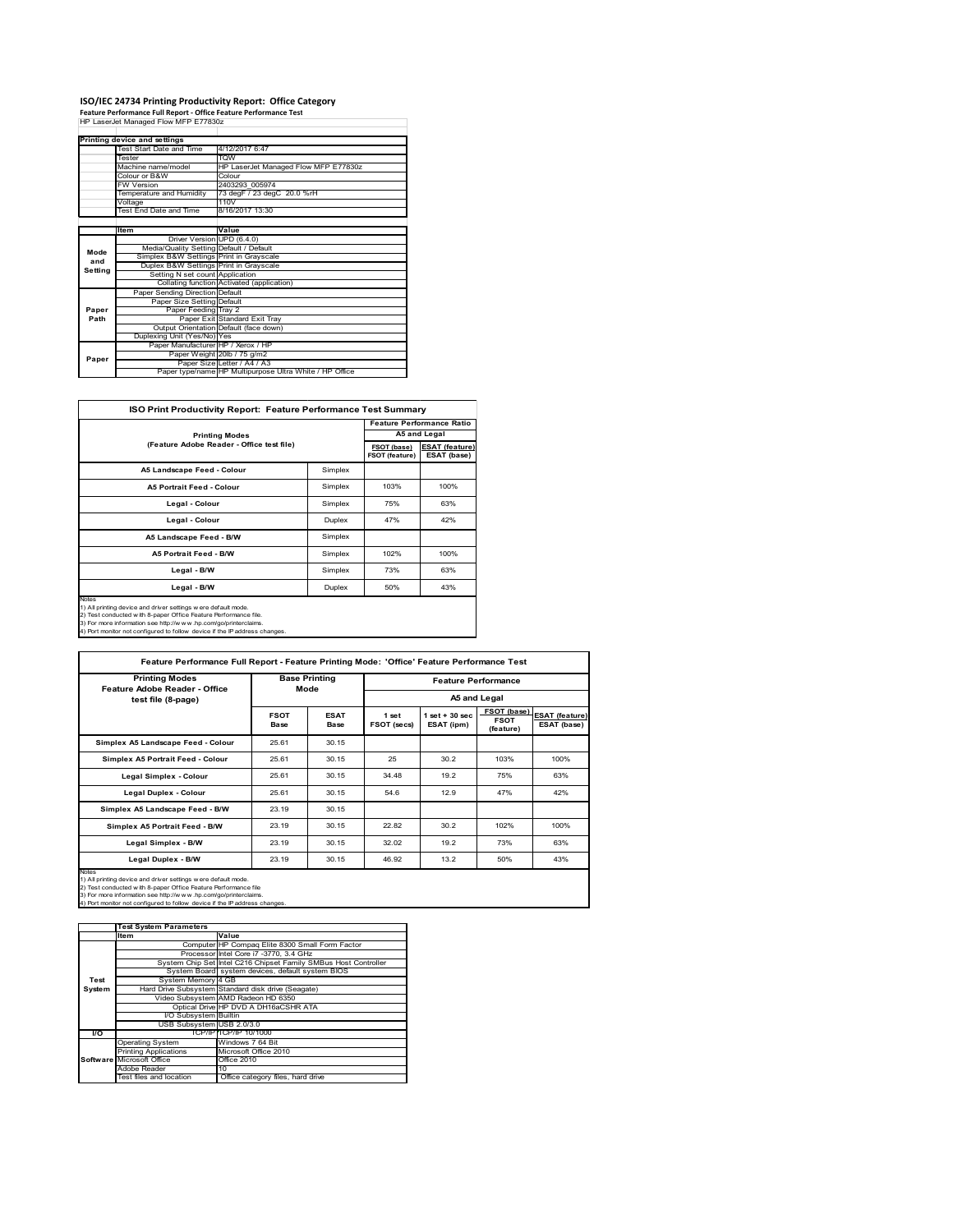# **ISO/IEC 24734 Printing Productivity Report: Office Category Feature Performance Full Report ‐ Office Feature Performance Test** HP LaserJet Managed Flow MFP E77830z

|         | HP Lasenet Managed Flow MFP E776302     |                                                         |  |
|---------|-----------------------------------------|---------------------------------------------------------|--|
|         | Printing device and settings            |                                                         |  |
|         | Test Start Date and Time                | 4/12/2017 6:47                                          |  |
|         | Tester                                  | <b>TOW</b>                                              |  |
|         | Machine name/model                      | HP LaserJet Managed Flow MFP E77830z                    |  |
|         | Colour or B&W                           | Colour                                                  |  |
|         | <b>FW Version</b>                       | 2403293 005974                                          |  |
|         | Temperature and Humidity                | 73 degF / 23 degC 20.0 %rH                              |  |
|         | Voltage                                 | 110V                                                    |  |
|         | Test End Date and Time                  | 8/16/2017 13:30                                         |  |
|         |                                         |                                                         |  |
|         | Item                                    | Value                                                   |  |
|         | Driver Version UPD (6.4.0)              |                                                         |  |
| Mode    | Media/Quality Setting Default / Default |                                                         |  |
| and     | Simplex B&W Settings Print in Grayscale |                                                         |  |
| Setting | Duplex B&W Settings Print in Grayscale  |                                                         |  |
|         | Setting N set count Application         |                                                         |  |
|         |                                         | Collating function Activated (application)              |  |
|         | Paper Sending Direction Default         |                                                         |  |
|         | Paper Size Setting Default              |                                                         |  |
| Paper   | Paper Feeding Tray 2                    |                                                         |  |
| Path    |                                         | Paper Exit Standard Exit Tray                           |  |
|         |                                         | Output Orientation Default (face down)                  |  |
|         | Duplexing Unit (Yes/No) Yes             |                                                         |  |
|         | Paper Manufacturer HP / Xerox / HP      |                                                         |  |
| Paper   |                                         | Paper Weight 20lb / 75 g/m2                             |  |
|         |                                         | Paper Size Letter / A4 / A3                             |  |
|         |                                         | Paper type/name HP Multipurpose Ultra White / HP Office |  |

| ISO Print Productivity Report: Feature Performance Test Summary                                                                                                                                                                                                                                   |         |      |                                  |  |  |
|---------------------------------------------------------------------------------------------------------------------------------------------------------------------------------------------------------------------------------------------------------------------------------------------------|---------|------|----------------------------------|--|--|
|                                                                                                                                                                                                                                                                                                   |         |      | <b>Feature Performance Ratio</b> |  |  |
| <b>Printing Modes</b>                                                                                                                                                                                                                                                                             |         |      | A5 and Legal                     |  |  |
| (Feature Adobe Reader - Office test file)                                                                                                                                                                                                                                                         |         |      |                                  |  |  |
| A5 Landscape Feed - Colour                                                                                                                                                                                                                                                                        | Simplex |      |                                  |  |  |
| <b>A5 Portrait Feed - Colour</b>                                                                                                                                                                                                                                                                  | Simplex | 103% | 100%                             |  |  |
| Legal - Colour                                                                                                                                                                                                                                                                                    | Simplex | 75%  | 63%                              |  |  |
| Legal - Colour                                                                                                                                                                                                                                                                                    | Duplex  | 47%  | 42%                              |  |  |
| A5 Landscape Feed - B/W                                                                                                                                                                                                                                                                           | Simplex |      |                                  |  |  |
| <b>A5 Portrait Feed - B/W</b>                                                                                                                                                                                                                                                                     | Simplex | 102% | 100%                             |  |  |
| Legal - B/W                                                                                                                                                                                                                                                                                       | Simplex | 73%  | 63%                              |  |  |
| Legal - B/W                                                                                                                                                                                                                                                                                       | Duplex  | 50%  | 43%                              |  |  |
| <b>Notes</b><br>1) All printing device and driver settings were default mode.<br>2) Test conducted with 8-paper Office Feature Performance file.<br>3) For more information see http://www.hp.com/go/printerclaims.<br>4) Port monitor not configured to follow device if the IP address changes. |         |      |                                  |  |  |

 $\overline{\phantom{a}}$ **Feature Performance Full Report - Feature Printing Mode: 'Office' Feature Performance Test**

| <b>Printing Modes</b><br>Feature Adobe Reader - Office | <b>Base Printing</b><br>Mode |                     | <b>Feature Performance</b> |                                  |                                         |                                      |  |
|--------------------------------------------------------|------------------------------|---------------------|----------------------------|----------------------------------|-----------------------------------------|--------------------------------------|--|
| test file (8-page)                                     |                              |                     |                            | A5 and Legal                     |                                         |                                      |  |
|                                                        | <b>FSOT</b><br><b>Base</b>   | <b>ESAT</b><br>Base | 1 set<br>FSOT (secs)       | $1$ set $+30$ sec.<br>ESAT (ipm) | FSOT (base)<br><b>FSOT</b><br>(feature) | <b>ESAT (feature)</b><br>ESAT (base) |  |
| Simplex A5 Landscape Feed - Colour                     | 25.61                        | 30.15               |                            |                                  |                                         |                                      |  |
| Simplex A5 Portrait Feed - Colour                      | 25.61                        | 30.15               | 25                         | 30.2                             | 103%                                    | 100%                                 |  |
| <b>Legal Simplex - Colour</b>                          | 25.61                        | 30.15               | 34.48                      | 19.2                             | 75%                                     | 63%                                  |  |
| <b>Legal Duplex - Colour</b>                           | 25.61                        | 30.15               | 54.6                       | 12.9                             | 47%                                     | 42%                                  |  |
| Simplex A5 Landscape Feed - B/W                        | 23.19                        | 30.15               |                            |                                  |                                         |                                      |  |
| Simplex A5 Portrait Feed - B/W                         | 23.19                        | 30.15               | 22.82                      | 30.2                             | 102%                                    | 100%                                 |  |
| Legal Simplex - B/W                                    | 23.19                        | 30.15               | 32.02                      | 19.2                             | 73%                                     | 63%                                  |  |
| Legal Duplex - B/W                                     | 23.19                        | 30.15               | 46.92                      | 13.2                             | 50%                                     | 43%                                  |  |

**Item Value** Computer HP Compaq Elite 8300 Small Form Facto Processor Intel Core i7 -3770, 3.4 GHz<br>System Chip Set Intel C216 Chipset Family S ntel C216 Chipset Family SMBus Host Controlle System devices, default system BIOS<br>4 GB System B<br>System Mer Hard Drive Subsystem Standard disk drive (Seagate) Video Subsystem AMD Radeon HD 6350 Optical Drive HP DVD A DH16aCSHR ATA **I/O Subsystem**<br>USB Subsystem Builtin<br>USB 2.0/3.0 **I/O** TCP/IP TCP/IP 10/1000 Operating System Windows 7 64 Bit Printing Applications Microsoft Office 2010 ft Office **Office 201** Adobe Reader<br>Test files and location Office category files, hard drive **Test System Software Test System Parameters**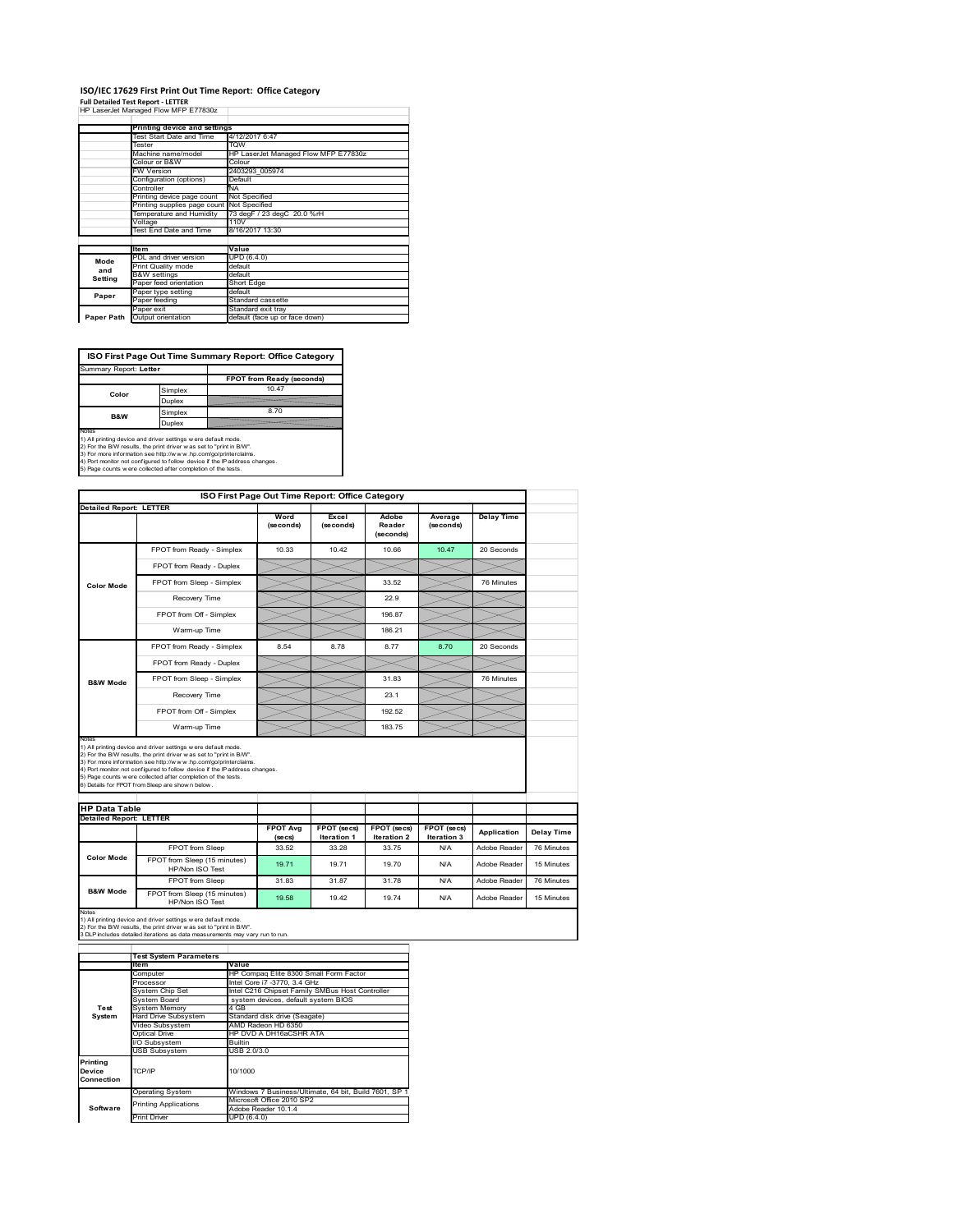# **ISO/IEC 17629 First Print Out Time Report: Office Category**

| <b>Full Detailed Test Report - LETTER</b> |
|-------------------------------------------|
| HP LaserJet Managed Flow MFP E77830z      |

|            | Printing device and settings               |                                                                      |  |  |  |
|------------|--------------------------------------------|----------------------------------------------------------------------|--|--|--|
|            | Test Start Date and Time                   | 4/12/2017 6:47<br><b>TOW</b><br>HP LaserJet Managed Flow MFP E77830z |  |  |  |
|            | Tester                                     |                                                                      |  |  |  |
|            | Machine name/model                         |                                                                      |  |  |  |
|            | Colour or B&W                              | Colour                                                               |  |  |  |
|            | <b>FW Version</b>                          | 2403293 005974                                                       |  |  |  |
|            | Configuration (options)                    | Default                                                              |  |  |  |
|            | Controller                                 | <b>NA</b>                                                            |  |  |  |
|            | Printing device page count                 | Not Specified                                                        |  |  |  |
|            | Printing supplies page count Not Specified |                                                                      |  |  |  |
|            | Temperature and Humidity                   | 73 degF / 23 degC 20.0 %rH                                           |  |  |  |
|            | Voltage                                    | 110V                                                                 |  |  |  |
|            | Test End Date and Time                     | 8/16/2017 13:30                                                      |  |  |  |
|            |                                            |                                                                      |  |  |  |
|            | <b>Item</b>                                | Value                                                                |  |  |  |
| Mode       | PDL and driver version                     | UPD (6.4.0)                                                          |  |  |  |
| and        | Print Quality mode                         | default                                                              |  |  |  |
|            | <b>B&amp;W</b> settings                    | default                                                              |  |  |  |
| Setting    | Paper feed orientation                     | <b>Short Edge</b>                                                    |  |  |  |
| Paper      | Paper type setting                         | default                                                              |  |  |  |
|            | Paper feeding                              | Standard cassette                                                    |  |  |  |
|            | Paper exit                                 | Standard exit tray                                                   |  |  |  |
| Paper Path | Output orientation                         | default (face up or face down)                                       |  |  |  |

**ISO First Page Out Time Summary Report: Office Category**

| Summary Report: Letter                                                                                                                                                                                            |               |                                                                            |
|-------------------------------------------------------------------------------------------------------------------------------------------------------------------------------------------------------------------|---------------|----------------------------------------------------------------------------|
|                                                                                                                                                                                                                   |               | FPOT from Ready (seconds)                                                  |
| Color                                                                                                                                                                                                             | Simplex       | 10.47                                                                      |
|                                                                                                                                                                                                                   | <b>Duplex</b> |                                                                            |
| <b>B&amp;W</b>                                                                                                                                                                                                    | Simplex       | 8.70                                                                       |
|                                                                                                                                                                                                                   | Duplex        |                                                                            |
| Notes<br>1) All printing device and driver settings w ere default mode.<br>2) For the B/W results, the print driver was set to "print in B/W".<br>3) For more information see http://www.hp.com/go/printerclaims. |               |                                                                            |
| 5) Page counts w ere collected after completion of the tests.                                                                                                                                                     |               | 4) Port monitor not configured to follow device if the IP address changes. |

|                                                                 |                                                                                                                                                                                                                                                                                                                                                                                                             | ISO First Page Out Time Report: Office Category |                                   |                                          |                            |                   |                                        |
|-----------------------------------------------------------------|-------------------------------------------------------------------------------------------------------------------------------------------------------------------------------------------------------------------------------------------------------------------------------------------------------------------------------------------------------------------------------------------------------------|-------------------------------------------------|-----------------------------------|------------------------------------------|----------------------------|-------------------|----------------------------------------|
| <b>Detailed Report: LETTER</b>                                  |                                                                                                                                                                                                                                                                                                                                                                                                             | Word<br>(seconds)                               | Excel<br>(seconds)                | Adobe<br>Reader<br>(seconds)             | Average<br>(seconds)       | <b>Delay Time</b> |                                        |
|                                                                 | FPOT from Ready - Simplex                                                                                                                                                                                                                                                                                                                                                                                   | 10.33                                           | 10.42                             | 10.66                                    | 10.47                      | 20 Seconds        |                                        |
|                                                                 | FPOT from Ready - Duplex                                                                                                                                                                                                                                                                                                                                                                                    |                                                 |                                   |                                          |                            |                   |                                        |
| <b>Color Mode</b>                                               | FPOT from Sleep - Simplex                                                                                                                                                                                                                                                                                                                                                                                   |                                                 |                                   | 33.52                                    |                            | 76 Minutes        |                                        |
|                                                                 | Recovery Time                                                                                                                                                                                                                                                                                                                                                                                               |                                                 |                                   | 22.9                                     |                            |                   |                                        |
|                                                                 | FPOT from Off - Simplex                                                                                                                                                                                                                                                                                                                                                                                     |                                                 |                                   | 196.87                                   |                            |                   |                                        |
|                                                                 | Warm-up Time                                                                                                                                                                                                                                                                                                                                                                                                |                                                 |                                   | 186.21                                   |                            |                   |                                        |
|                                                                 | FPOT from Ready - Simplex                                                                                                                                                                                                                                                                                                                                                                                   | 8.54                                            | 8.78                              | 8.77                                     | 8.70                       | 20 Seconds        |                                        |
|                                                                 | FPOT from Ready - Duplex                                                                                                                                                                                                                                                                                                                                                                                    |                                                 |                                   |                                          |                            |                   |                                        |
| <b>B&amp;W Mode</b>                                             | FPOT from Sleep - Simplex                                                                                                                                                                                                                                                                                                                                                                                   |                                                 |                                   | 31.83                                    |                            | 76 Minutes        |                                        |
|                                                                 | Recovery Time                                                                                                                                                                                                                                                                                                                                                                                               |                                                 |                                   | 23.1                                     |                            |                   |                                        |
|                                                                 |                                                                                                                                                                                                                                                                                                                                                                                                             |                                                 |                                   |                                          |                            |                   |                                        |
|                                                                 | FPOT from Off - Simplex                                                                                                                                                                                                                                                                                                                                                                                     |                                                 |                                   | 192.52                                   |                            |                   |                                        |
|                                                                 | Warm-up Time                                                                                                                                                                                                                                                                                                                                                                                                |                                                 |                                   | 183.75                                   |                            |                   |                                        |
| Notes<br><b>HP Data Table</b><br><b>Detailed Report: LETTER</b> | 1) All printing device and driver settings w ere default mode.<br>2) For the B/W results, the print driver was set to "print in B/W".<br>3) For more information see http://www.hp.com/go/printerclaims.<br>4) Port monitor not configured to follow device if the IP address changes.<br>5) Page counts w ere collected after completion of the tests.<br>6) Details for FPOT from Sleep are show n below. | <b>FPOT Avg</b><br>(se cs)                      | FPOT (secs)<br><b>Iteration 1</b> | <b>FPOT</b> (secs)<br><b>Iteration 2</b> | FPOT (secs)<br>Iteration 3 | Application       |                                        |
|                                                                 | FPOT from Sleep                                                                                                                                                                                                                                                                                                                                                                                             | 33.52                                           | 33.28                             | 33 75                                    | N/A                        | Adobe Reader      |                                        |
| <b>Color Mode</b>                                               | FPOT from Sleep (15 minutes)<br>HP/Non ISO Test                                                                                                                                                                                                                                                                                                                                                             | 19.71                                           | 19.71                             | 19.70                                    | N/A                        | Adobe Reader      | Delay Time<br>76 Minutes<br>15 Minutes |
| <b>B&amp;W Mode</b>                                             | FPOT from Sleep                                                                                                                                                                                                                                                                                                                                                                                             | 31.83                                           | 31.87                             | 31 78                                    | N/A                        | Adobe Reader      | 76 Minutes                             |

|                                            | <b>Test System Parameters</b> |                                                       |  |  |  |
|--------------------------------------------|-------------------------------|-------------------------------------------------------|--|--|--|
|                                            | Item                          | Value                                                 |  |  |  |
|                                            | Computer                      | HP Compaq Elite 8300 Small Form Factor                |  |  |  |
|                                            | Processor                     | Intel Core i7 -3770, 3.4 GHz                          |  |  |  |
|                                            | System Chip Set               | Intel C216 Chipset Family SMBus Host Controller       |  |  |  |
|                                            | System Board                  | system devices, default system BIOS                   |  |  |  |
| Test                                       | <b>System Memory</b>          | 4 GB                                                  |  |  |  |
| System                                     | <b>Hard Drive Subsystem</b>   | Standard disk drive (Seagate)                         |  |  |  |
|                                            | Video Subsystem               | AMD Radeon HD 6350                                    |  |  |  |
|                                            | Optical Drive                 | HP DVD A DH16aCSHR ATA                                |  |  |  |
|                                            | I/O Subsystem                 | <b>Builtin</b>                                        |  |  |  |
|                                            | <b>USB Subsystem</b>          | USB 2.0/3.0                                           |  |  |  |
| Printing<br>TCP/IP<br>Device<br>Connection |                               | 10/1000                                               |  |  |  |
|                                            |                               | Windows 7 Business/Ultimate, 64 bit, Build 7601, SP 1 |  |  |  |
|                                            | <b>Operating System</b>       |                                                       |  |  |  |
| Software                                   | <b>Printing Applications</b>  | Microsoft Office 2010 SP2                             |  |  |  |
|                                            |                               | Adobe Reader 10.1.4                                   |  |  |  |
|                                            | <b>Print Driver</b>           | UPD (6.4.0)                                           |  |  |  |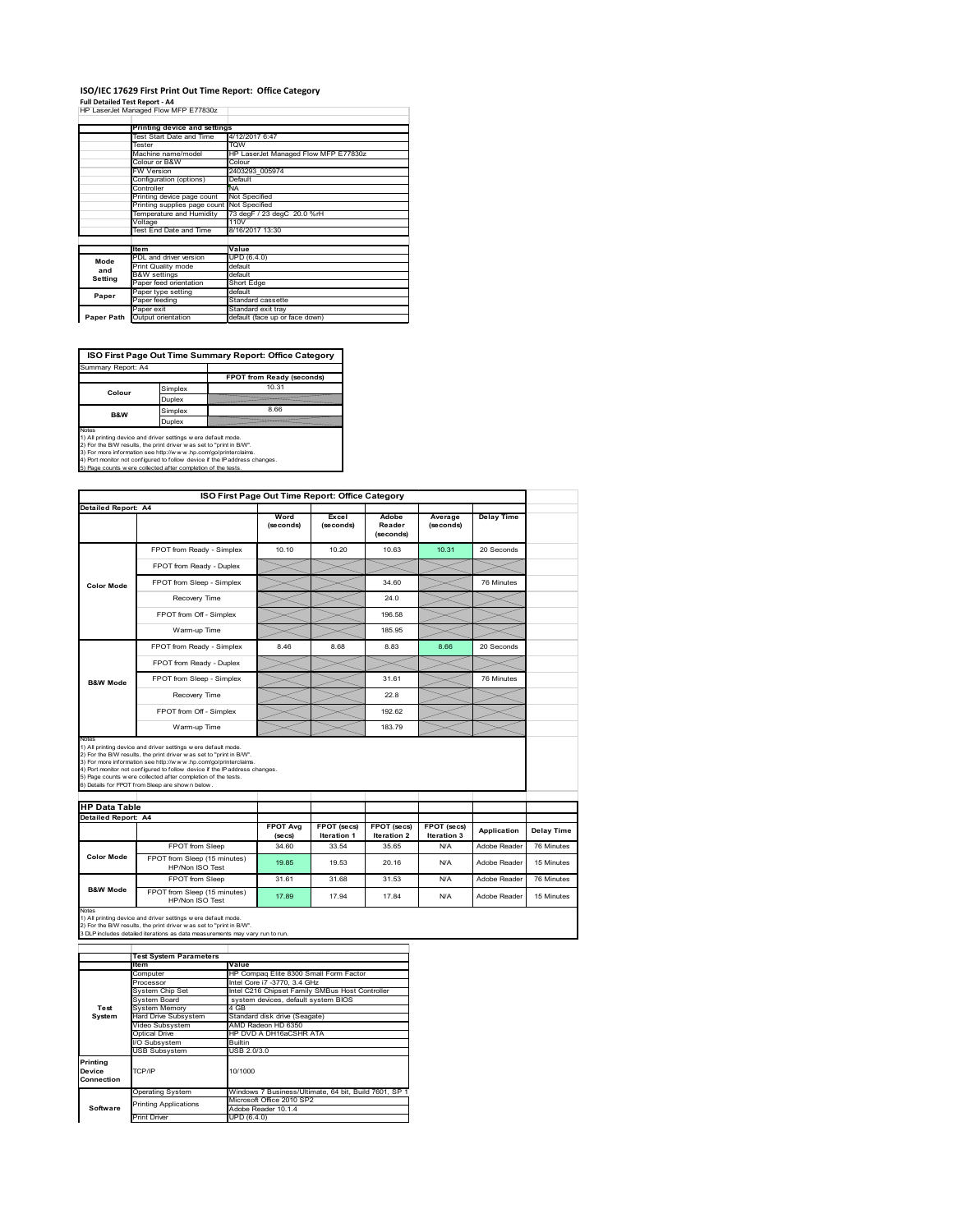# **ISO/IEC 17629 First Print Out Time Report: Office Category**

**Full Detailed Test Report ‐ A4** HP LaserJet Managed Flow MFP E77830z

|            | Printing device and settings               |                                      |  |  |
|------------|--------------------------------------------|--------------------------------------|--|--|
|            | Test Start Date and Time                   | 4/12/2017 6:47                       |  |  |
|            | Tester                                     | <b>TOW</b>                           |  |  |
|            | Machine name/model                         | HP LaserJet Managed Flow MFP E77830z |  |  |
|            | Colour or B&W                              | Colour                               |  |  |
|            | <b>FW Version</b>                          | 2403293 005974                       |  |  |
|            | Configuration (options)                    | Default                              |  |  |
|            | Controller                                 | <b>NA</b>                            |  |  |
|            | Printing device page count                 | Not Specified                        |  |  |
|            | Printing supplies page count Not Specified | 73 degF / 23 degC 20.0 %rH           |  |  |
|            | Temperature and Humidity                   |                                      |  |  |
|            | Voltage                                    | 110V                                 |  |  |
|            | Test End Date and Time                     | 8/16/2017 13:30                      |  |  |
|            |                                            |                                      |  |  |
|            | <b>Item</b>                                | Value                                |  |  |
| Mode       | PDL and driver version                     | UPD (6.4.0)                          |  |  |
| and        | Print Quality mode                         | default                              |  |  |
| Setting    | <b>B&amp;W</b> settings                    | default                              |  |  |
|            | Paper feed orientation                     | Short Edge                           |  |  |
| Paper      | Paper type setting                         | default                              |  |  |
|            | Paper feeding                              | Standard cassette                    |  |  |
|            | Paper exit                                 | Standard exit tray                   |  |  |
| Paper Path | Output orientation                         | default (face up or face down)       |  |  |

**ISO First Page Out Time Summary Report: Office Category**

| Summary Report: A4 |         |                           |
|--------------------|---------|---------------------------|
|                    |         | FPOT from Ready (seconds) |
| Colour             | Simplex | 10.31                     |
|                    | Duplex  |                           |
| <b>B&amp;W</b>     | Simplex | 8.66                      |
|                    | Duplex  |                           |
|                    |         |                           |

Notes<br>1) All printing device and driver settings were default mode.<br>2) For the BAV results, the print driver was set to "print in BAV".<br>3) For more information see http://www.hp.com/golprinterclaims.<br>4) Port monitor not co

|                                                             |                                                                                                                                                                                                                                                                                                                                                                                                              | ISO First Page Out Time Report: Office Category |                             |                              |                      |                   |                          |
|-------------------------------------------------------------|--------------------------------------------------------------------------------------------------------------------------------------------------------------------------------------------------------------------------------------------------------------------------------------------------------------------------------------------------------------------------------------------------------------|-------------------------------------------------|-----------------------------|------------------------------|----------------------|-------------------|--------------------------|
| <b>Detailed Report: A4</b>                                  |                                                                                                                                                                                                                                                                                                                                                                                                              | Word<br>(seconds)                               | Excel<br>(seconds)          | Adobe<br>Reader<br>(seconds) | Average<br>(seconds) | <b>Delay Time</b> |                          |
|                                                             | FPOT from Ready - Simplex                                                                                                                                                                                                                                                                                                                                                                                    | 10.10                                           | 10.20                       | 10.63                        | 10.31                | 20 Seconds        |                          |
|                                                             | FPOT from Ready - Duplex                                                                                                                                                                                                                                                                                                                                                                                     |                                                 |                             |                              |                      |                   |                          |
| <b>Color Mode</b>                                           | FPOT from Sleep - Simplex                                                                                                                                                                                                                                                                                                                                                                                    |                                                 |                             | 34 60                        |                      | 76 Minutes        |                          |
|                                                             | Recovery Time                                                                                                                                                                                                                                                                                                                                                                                                |                                                 |                             | 24.0                         |                      |                   |                          |
|                                                             | FPOT from Off - Simplex                                                                                                                                                                                                                                                                                                                                                                                      |                                                 |                             | 196.58                       |                      |                   |                          |
|                                                             | Warm-up Time                                                                                                                                                                                                                                                                                                                                                                                                 |                                                 |                             | 185.95                       |                      |                   |                          |
|                                                             | FPOT from Ready - Simplex                                                                                                                                                                                                                                                                                                                                                                                    | 8.46                                            | 8.68                        | 8.83                         | 8.66                 | 20 Seconds        |                          |
| <b>B&amp;W Mode</b>                                         | FPOT from Ready - Duplex                                                                                                                                                                                                                                                                                                                                                                                     |                                                 |                             |                              |                      |                   |                          |
|                                                             | FPOT from Sleep - Simplex                                                                                                                                                                                                                                                                                                                                                                                    |                                                 |                             | 31.61                        |                      | 76 Minutes        |                          |
|                                                             | Recovery Time                                                                                                                                                                                                                                                                                                                                                                                                |                                                 |                             | 22.8                         |                      |                   |                          |
|                                                             |                                                                                                                                                                                                                                                                                                                                                                                                              |                                                 |                             |                              |                      |                   |                          |
|                                                             | FPOT from Off - Simplex                                                                                                                                                                                                                                                                                                                                                                                      |                                                 |                             | 192.62                       |                      |                   |                          |
|                                                             | Warm-up Time                                                                                                                                                                                                                                                                                                                                                                                                 |                                                 |                             | 18379                        |                      |                   |                          |
| Notes<br><b>HP Data Table</b><br><b>Detailed Report: A4</b> | 1) All printing device and driver settings w ere default mode.<br>2) For the B/W results, the print driver w as set to "print in B/W".<br>3) For more information see http://www.hp.com/go/printerclaims.<br>4) Port monitor not configured to follow device if the IP address changes.<br>5) Page counts w ere collected after completion of the tests.<br>6) Details for FPOT from Sleep are show n below. | <b>FPOT Ava</b>                                 | <b>FPOT (secs)</b>          | FPOT (secs)                  | FPOT (secs)          | Application       |                          |
|                                                             | FPOT from Sleep                                                                                                                                                                                                                                                                                                                                                                                              | (se cs)<br>34.60                                | <b>Iteration 1</b><br>33.54 | <b>Iteration 2</b><br>35.65  | Iteration 3<br>N/A   | Adobe Reader      | Delay Time<br>76 Minutes |
| <b>Color Mode</b>                                           | FPOT from Sleep (15 minutes)<br>HP/Non ISO Test                                                                                                                                                                                                                                                                                                                                                              | 19.85                                           | 19.53                       | 20.16                        | N/A                  | Adobe Reader      | 15 Minutes               |
|                                                             | FPOT from Sleep                                                                                                                                                                                                                                                                                                                                                                                              | 31.61                                           | 31.68                       | 31.53                        | N/A                  | Adobe Reader      | 76 Minutes               |

|                                  | <b>Test System Parameters</b>         |                                                       |  |  |
|----------------------------------|---------------------------------------|-------------------------------------------------------|--|--|
|                                  | Item                                  | Value                                                 |  |  |
|                                  | Computer                              | HP Compaq Elite 8300 Small Form Factor                |  |  |
|                                  | Processor                             | Intel Core i7 -3770, 3.4 GHz                          |  |  |
|                                  | System Chip Set                       | Intel C216 Chipset Family SMBus Host Controller       |  |  |
|                                  | System Board                          | system devices, default system BIOS                   |  |  |
| Test                             | <b>System Memory</b>                  | 4 GB                                                  |  |  |
| System                           | Hard Drive Subsystem                  | Standard disk drive (Seagate)                         |  |  |
|                                  | AMD Radeon HD 6350<br>Video Subsystem |                                                       |  |  |
|                                  | Optical Drive                         | HP DVD A DH16aCSHR ATA                                |  |  |
|                                  | I/O Subsystem                         | <b>Builtin</b>                                        |  |  |
|                                  | USB Subsystem                         | USB 2.0/3.0                                           |  |  |
| Printing<br>Device<br>Connection | TCP/IP<br>10/1000                     |                                                       |  |  |
|                                  | <b>Operating System</b>               | Windows 7 Business/Ultimate, 64 bit, Build 7601, SP 1 |  |  |
|                                  | <b>Printing Applications</b>          | Microsoft Office 2010 SP2                             |  |  |
| Software                         |                                       | Adobe Reader 10.1.4                                   |  |  |
|                                  | Print Driver                          | UPD (6.4.0)                                           |  |  |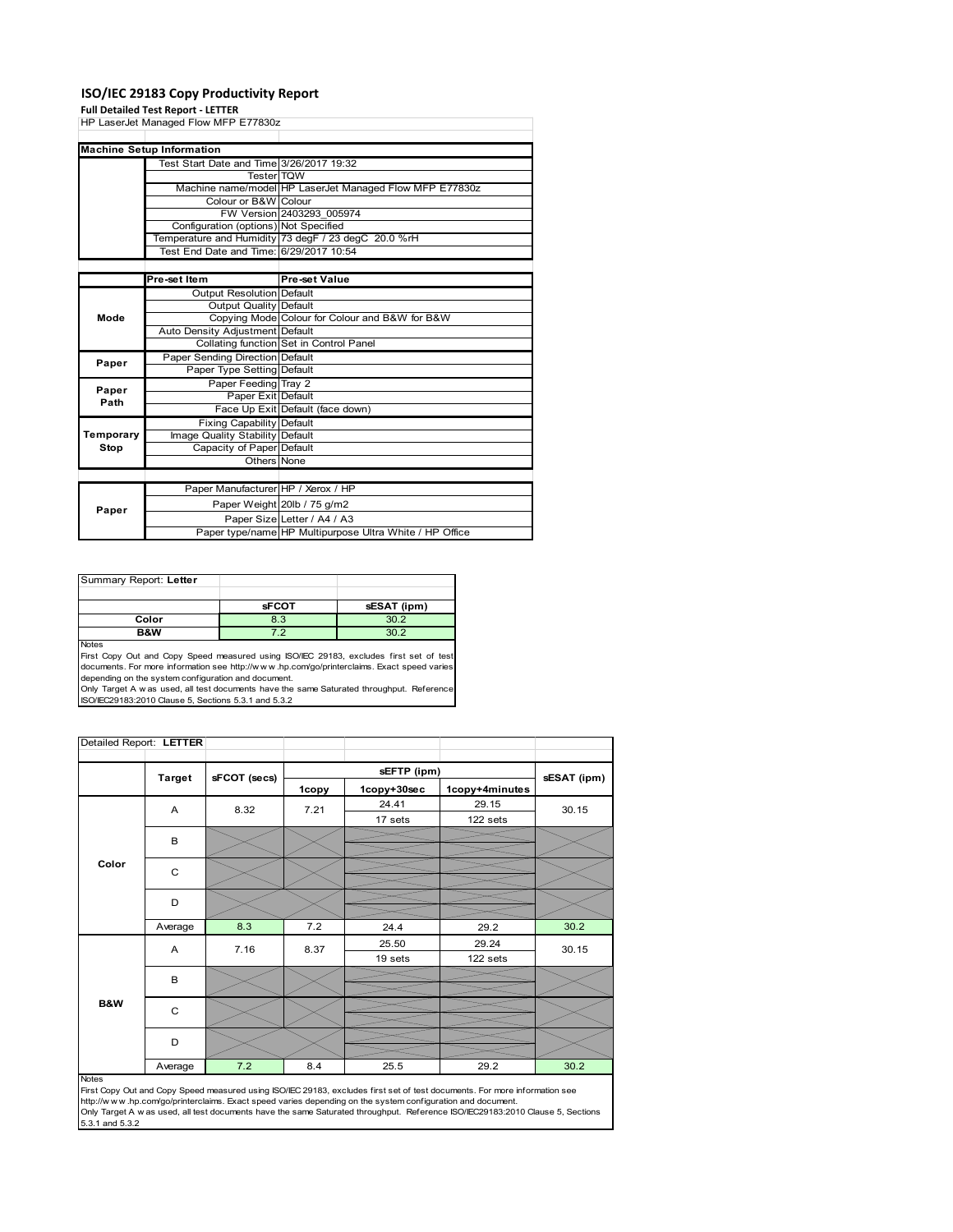### **ISO/IEC 29183 Copy Productivity Report**

#### **Full Detailed Test Report ‐ LETTER**

|           | HP LaserJet Managed Flow MFP E77830z     |                                                         |  |  |
|-----------|------------------------------------------|---------------------------------------------------------|--|--|
|           |                                          |                                                         |  |  |
|           | <b>Machine Setup Information</b>         |                                                         |  |  |
|           | Test Start Date and Time 3/26/2017 19:32 |                                                         |  |  |
|           | <b>Tester TOW</b>                        |                                                         |  |  |
|           |                                          | Machine name/model HP LaserJet Managed Flow MFP E77830z |  |  |
|           | Colour or B&W Colour                     |                                                         |  |  |
|           |                                          | FW Version 2403293 005974                               |  |  |
|           | Configuration (options) Not Specified    |                                                         |  |  |
|           |                                          | Temperature and Humidity 73 degF / 23 degC 20.0 %rH     |  |  |
|           | Test End Date and Time: 6/29/2017 10:54  |                                                         |  |  |
|           |                                          |                                                         |  |  |
|           | Pre-set Item                             | Pre-set Value                                           |  |  |
|           | Output Resolution Default                |                                                         |  |  |
|           | Output Quality Default                   |                                                         |  |  |
| Mode      |                                          | Copying Mode Colour for Colour and B&W for B&W          |  |  |
|           | Auto Density Adjustment Default          |                                                         |  |  |
|           |                                          | Collating function Set in Control Panel                 |  |  |
| Paper     | Paper Sending Direction Default          |                                                         |  |  |
|           | Paper Type Setting Default               |                                                         |  |  |
| Paper     | Paper Feeding Tray 2                     |                                                         |  |  |
| Path      | Paper Exit Default                       |                                                         |  |  |
|           |                                          | Face Up Exit Default (face down)                        |  |  |
|           | <b>Fixing Capability Default</b>         |                                                         |  |  |
| Temporary | Image Quality Stability Default          |                                                         |  |  |
| Stop      | Capacity of Paper Default                |                                                         |  |  |
|           | Others None                              |                                                         |  |  |
|           |                                          |                                                         |  |  |
|           | Paper Manufacturer HP / Xerox / HP       |                                                         |  |  |
| Paper     |                                          | Paper Weight 20lb / 75 g/m2                             |  |  |
|           |                                          | Paper Size Letter / A4 / A3                             |  |  |
|           |                                          | Paper type/name HP Multipurpose Ultra White / HP Office |  |  |

| Summary Report: Letter |              |             |
|------------------------|--------------|-------------|
|                        |              |             |
|                        | <b>sFCOT</b> | sESAT (ipm) |
| Color                  | 8.3          | 30.2        |
| <b>B&amp;W</b>         | フ つ          | 30 P        |
| <b>Nickon</b>          |              |             |

Notes<br>First Copy Out and Copy Speed measured using ISO/IEC 29183, excludes first set of test<br>documents. For more information see http://www..hp.com/go/printerclaims. Exact speed varies

depending on the system configuration and document.<br>Only Target A w as used, all test documents have the same Saturated throughput. Reference<br>ISO/IEC29183:2010 Clause 5, Sections 5.3.1 and 5.3.2

| Detailed Report: LETTER |               |              |       |             |                |             |
|-------------------------|---------------|--------------|-------|-------------|----------------|-------------|
|                         |               |              |       | sEFTP (ipm) |                |             |
|                         | <b>Target</b> | sFCOT (secs) | 1copy | 1copy+30sec | 1copy+4minutes | sESAT (ipm) |
|                         | A             | 8.32         | 7.21  | 24.41       | 29.15          | 30.15       |
|                         |               |              |       | 17 sets     | 122 sets       |             |
|                         | B             |              |       |             |                |             |
|                         |               |              |       |             |                |             |
| Color                   | C             |              |       |             |                |             |
|                         |               |              |       |             |                |             |
|                         | D             |              |       |             |                |             |
|                         |               |              |       |             |                |             |
|                         | Average       | 8.3          | 7.2   | 24.4        | 29.2           | 30.2        |
|                         | Α             | 7.16         | 8.37  | 25.50       | 29.24          | 30.15       |
|                         |               |              |       | 19 sets     | 122 sets       |             |
|                         | B             |              |       |             |                |             |
|                         |               |              |       |             |                |             |
| B&W                     | $\mathbf C$   |              |       |             |                |             |
|                         |               |              |       |             |                |             |
|                         | D             |              |       |             |                |             |
|                         |               |              |       |             |                |             |
|                         | Average       | 7.2          | 8.4   | 25.5        | 29.2           | 30.2        |

#### Notes

First Copy Out and Copy Speed measured using ISO/IEC 29183, excludes first set of test documents. For more information see<br>http://w w w.hp.com/go/printerclaims. Exact speed varies depending on the system configuration and 5.3.1 and 5.3.2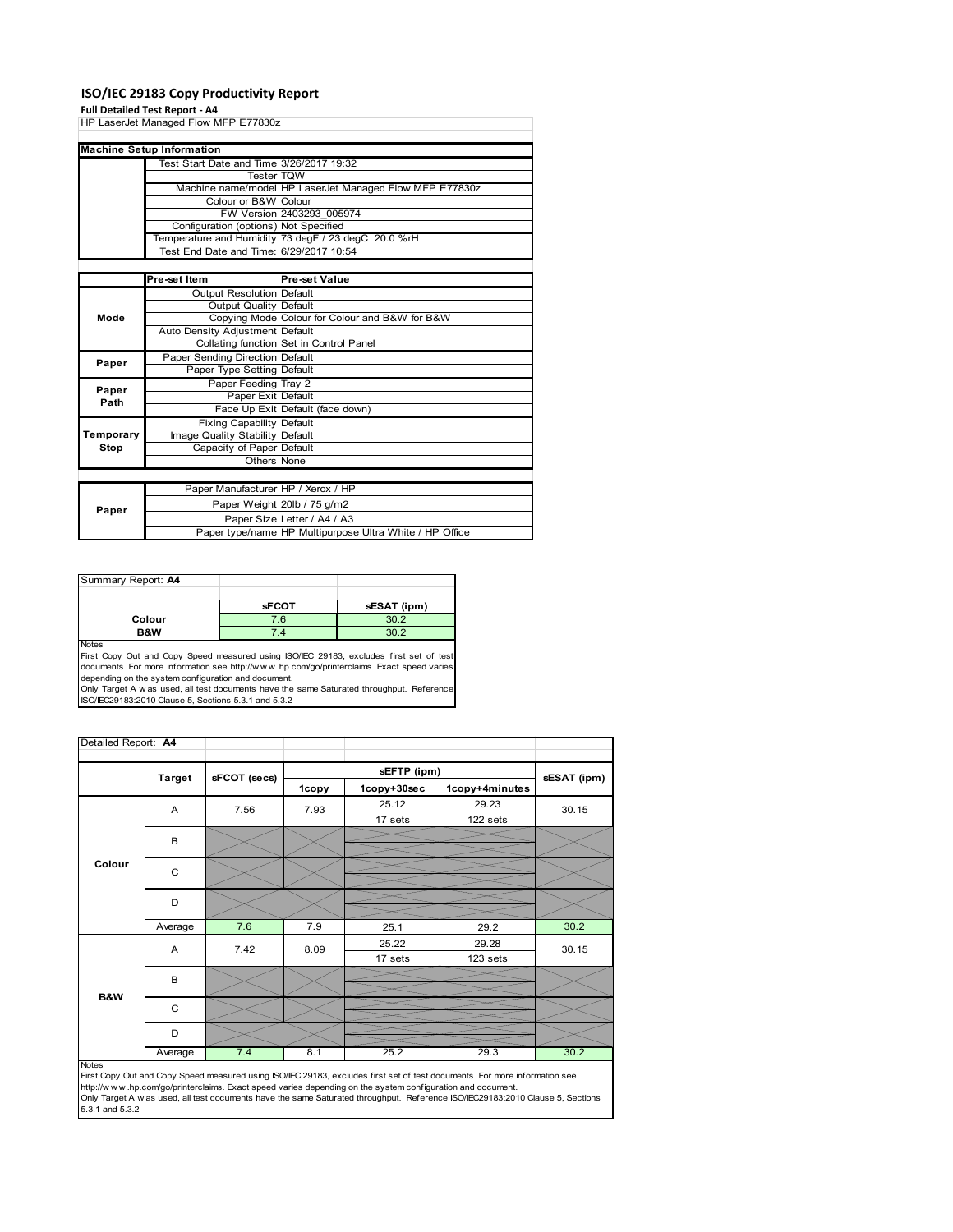### **ISO/IEC 29183 Copy Productivity Report**

#### **Full Detailed Test Report ‐ A4**

|           | HP LaserJet Managed Flow MFP E77830z     |                                                         |  |  |
|-----------|------------------------------------------|---------------------------------------------------------|--|--|
|           |                                          |                                                         |  |  |
|           | <b>Machine Setup Information</b>         |                                                         |  |  |
|           | Test Start Date and Time 3/26/2017 19:32 |                                                         |  |  |
|           | Tester TOW                               |                                                         |  |  |
|           |                                          | Machine name/model HP LaserJet Managed Flow MFP E77830z |  |  |
|           | Colour or B&W Colour                     |                                                         |  |  |
|           |                                          | FW Version 2403293 005974                               |  |  |
|           | Configuration (options) Not Specified    |                                                         |  |  |
|           |                                          | Temperature and Humidity 73 degF / 23 degC 20.0 %rH     |  |  |
|           | Test End Date and Time: 6/29/2017 10:54  |                                                         |  |  |
|           |                                          |                                                         |  |  |
|           | Pre-set Item                             | <b>Pre-set Value</b>                                    |  |  |
|           | Output Resolution Default                |                                                         |  |  |
|           | Output Quality Default                   |                                                         |  |  |
| Mode      |                                          | Copying Mode Colour for Colour and B&W for B&W          |  |  |
|           | Auto Density Adjustment Default          |                                                         |  |  |
|           |                                          | Collating function Set in Control Panel                 |  |  |
| Paper     | Paper Sending Direction Default          |                                                         |  |  |
|           | Paper Type Setting Default               |                                                         |  |  |
| Paper     | Paper Feeding Tray 2                     |                                                         |  |  |
| Path      | Paper Exit Default                       |                                                         |  |  |
|           |                                          | Face Up Exit Default (face down)                        |  |  |
|           | <b>Fixing Capability Default</b>         |                                                         |  |  |
| Temporary | Image Quality Stability Default          |                                                         |  |  |
| Stop      | Capacity of Paper Default                |                                                         |  |  |
|           | Others None                              |                                                         |  |  |
|           |                                          |                                                         |  |  |
|           | Paper Manufacturer HP / Xerox / HP       |                                                         |  |  |
| Paper     |                                          | Paper Weight 20lb / 75 g/m2                             |  |  |
|           |                                          | Paper Size Letter / A4 / A3                             |  |  |
|           |                                          | Paper type/name HP Multipurpose Ultra White / HP Office |  |  |

| Summary Report: A4 |              |             |
|--------------------|--------------|-------------|
|                    |              |             |
|                    | <b>sFCOT</b> | sESAT (ipm) |
| Colour             | 7.6          | 30.2        |
| B&W                | 4            |             |
| .                  |              |             |

Notes<br>First Copy Out and Copy Speed measured using ISO/IEC 29183, excludes first set of test<br>documents. For more information see http://www..hp.com/go/printerclaims. Exact speed varies

depending on the system configuration and document.<br>Only Target A w as used, all test documents have the same Saturated throughput. Reference<br>ISO/IEC29183:2010 Clause 5, Sections 5.3.1 and 5.3.2

| Detailed Report: A4 |               |              |       |             |                |             |
|---------------------|---------------|--------------|-------|-------------|----------------|-------------|
|                     |               |              |       | sEFTP (ipm) |                |             |
|                     | <b>Target</b> | sFCOT (secs) | 1copy | 1copy+30sec | 1copy+4minutes | sESAT (ipm) |
|                     | A             | 7.56         | 7.93  | 25.12       | 29.23          | 30.15       |
|                     |               |              |       | 17 sets     | 122 sets       |             |
|                     | B             |              |       |             |                |             |
| Colour              | C             |              |       |             |                |             |
|                     | D             |              |       |             |                |             |
|                     | Average       | 7.6          | 7.9   | 25.1        | 29.2           | 30.2        |
|                     | Α             | 7.42         | 8.09  | 25.22       | 29.28          | 30.15       |
|                     |               |              |       | 17 sets     | 123 sets       |             |
|                     | B             |              |       |             |                |             |
| <b>B&amp;W</b>      |               |              |       |             |                |             |
|                     | C             |              |       |             |                |             |
|                     | D             |              |       |             |                |             |
|                     | Average       | 7.4          | 8.1   | 25.2        | 29.3           | 30.2        |

http://w.w.w..hp.com/go/printerclaims. Exact speed varies depending on the system configuration and document.<br>Only Target A w as used, all test documents have the same Saturated throughput. Reference ISO/IEC29183:2010 Cla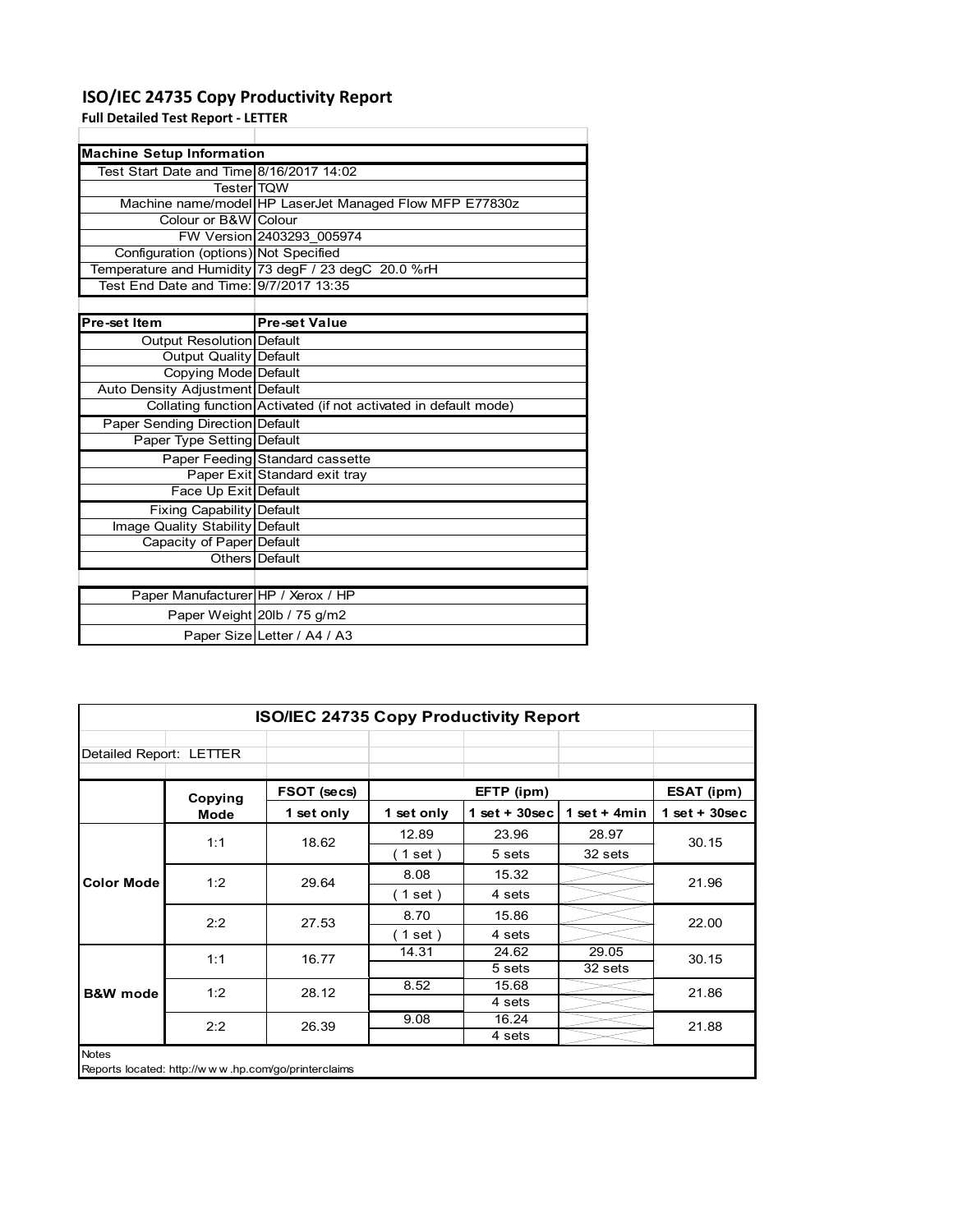# **ISO/IEC 24735 Copy Productivity Report**

**Full Detailed Test Report ‐ LETTER**

| <b>Machine Setup Information</b>         |                                                                 |  |  |  |
|------------------------------------------|-----------------------------------------------------------------|--|--|--|
| Test Start Date and Time 8/16/2017 14:02 |                                                                 |  |  |  |
| <b>Tester</b> TQW                        |                                                                 |  |  |  |
|                                          | Machine name/model HP LaserJet Managed Flow MFP E77830z         |  |  |  |
| Colour or B&W Colour                     |                                                                 |  |  |  |
|                                          | FW Version 2403293 005974                                       |  |  |  |
| Configuration (options) Not Specified    |                                                                 |  |  |  |
|                                          | Temperature and Humidity 73 degF / 23 degC 20.0 %rH             |  |  |  |
| Test End Date and Time: 9/7/2017 13:35   |                                                                 |  |  |  |
|                                          |                                                                 |  |  |  |
| Pre-set Item                             | <b>Pre-set Value</b>                                            |  |  |  |
| Output Resolution Default                |                                                                 |  |  |  |
| Output Quality Default                   |                                                                 |  |  |  |
| Copying Mode Default                     |                                                                 |  |  |  |
| Auto Density Adjustment Default          |                                                                 |  |  |  |
|                                          | Collating function Activated (if not activated in default mode) |  |  |  |
| <b>Paper Sending Direction Default</b>   |                                                                 |  |  |  |
| Paper Type Setting Default               |                                                                 |  |  |  |
|                                          | Paper Feeding Standard cassette                                 |  |  |  |
|                                          | Paper Exit Standard exit tray                                   |  |  |  |
| Face Up Exit Default                     |                                                                 |  |  |  |
| <b>Fixing Capability Default</b>         |                                                                 |  |  |  |
| Image Quality Stability Default          |                                                                 |  |  |  |
| Capacity of Paper Default                |                                                                 |  |  |  |
|                                          | Others Default                                                  |  |  |  |
|                                          |                                                                 |  |  |  |
| Paper Manufacturer HP / Xerox / HP       |                                                                 |  |  |  |
|                                          | Paper Weight 20lb / 75 g/m2                                     |  |  |  |

Paper Size Letter / A4 / A3

| <b>ISO/IEC 24735 Copy Productivity Report</b>                       |             |             |            |                 |                 |                 |  |  |
|---------------------------------------------------------------------|-------------|-------------|------------|-----------------|-----------------|-----------------|--|--|
| Detailed Report: LETTER                                             |             |             |            |                 |                 |                 |  |  |
|                                                                     | Copying     | FSOT (secs) |            | EFTP (ipm)      |                 | ESAT (ipm)      |  |  |
|                                                                     | <b>Mode</b> | 1 set only  | 1 set only | $1$ set + 30sec | 1 set $+$ 4 min | $1$ set + 30sec |  |  |
|                                                                     | 1:1         | 18.62       | 12.89      | 23.96           | 28.97           | 30.15           |  |  |
| <b>Color Mode</b>                                                   |             |             | (1 set)    | 5 sets          | 32 sets         |                 |  |  |
|                                                                     | 1:2         | 29.64       | 8.08       | 15.32           |                 | 21.96           |  |  |
|                                                                     |             |             | (1 set)    | 4 sets          |                 |                 |  |  |
|                                                                     | 2:2         | 27.53       | 8.70       | 15.86           |                 | 22.00           |  |  |
|                                                                     |             |             | (1 set)    | 4 sets          |                 |                 |  |  |
|                                                                     | 1:1         | 16.77       | 14.31      | 24.62           | 29.05           | 30.15           |  |  |
|                                                                     |             |             |            | 5 sets          | 32 sets         |                 |  |  |
| <b>B&amp;W</b> mode                                                 | 1:2         | 28.12       | 8.52       | 15.68           |                 | 21.86           |  |  |
|                                                                     |             |             |            | 4 sets          |                 |                 |  |  |
|                                                                     | 2:2         | 26.39       | 9.08       | 16.24           |                 | 21.88           |  |  |
|                                                                     |             |             |            | 4 sets          |                 |                 |  |  |
| <b>Notes</b><br>Reports located: http://www.hp.com/go/printerclaims |             |             |            |                 |                 |                 |  |  |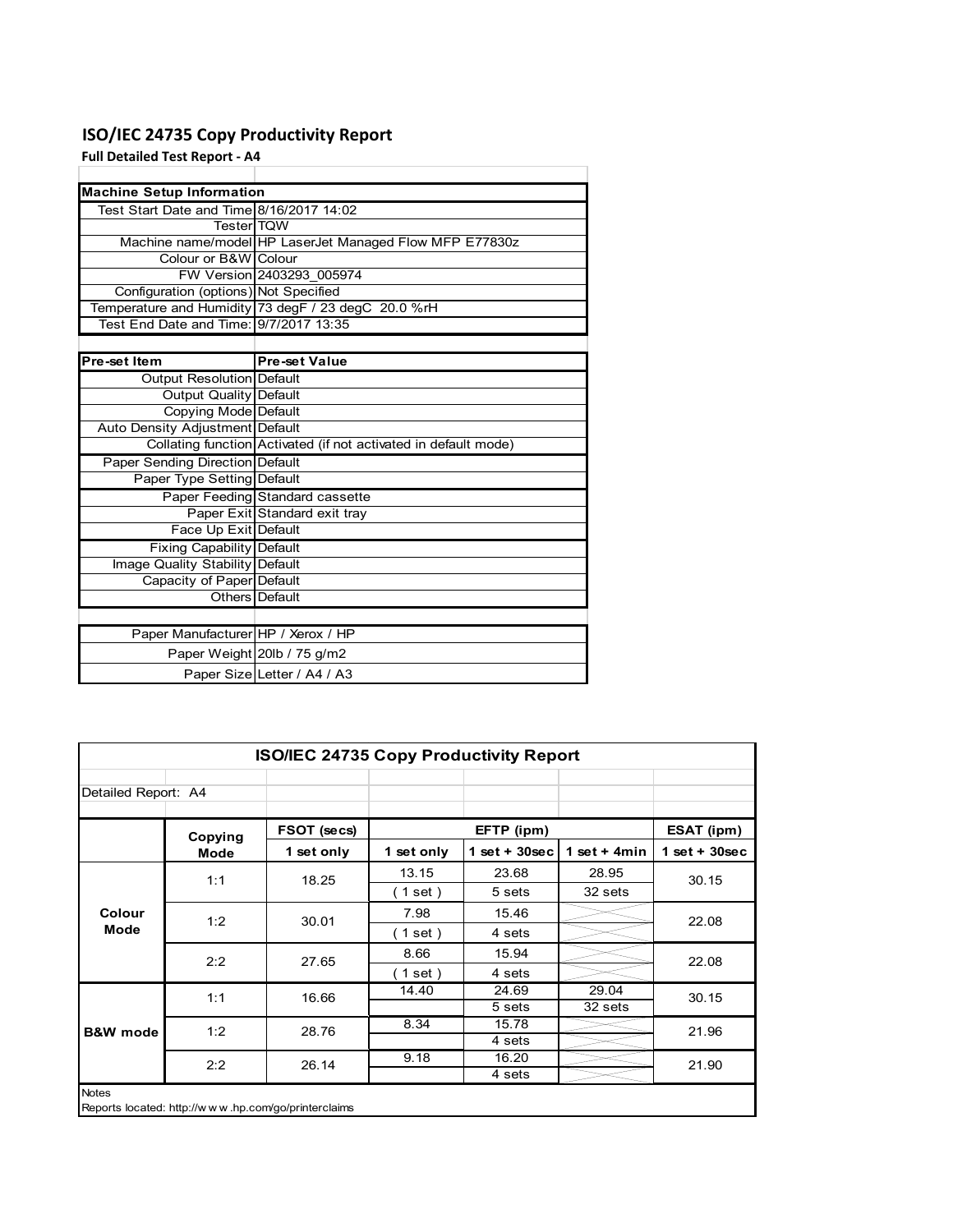# **ISO/IEC 24735 Copy Productivity Report**

**Full Detailed Test Report ‐ A4**

| <b>Machine Setup Information</b>         |                                                                 |
|------------------------------------------|-----------------------------------------------------------------|
| Test Start Date and Time 8/16/2017 14:02 |                                                                 |
| <b>TesterITOW</b>                        |                                                                 |
|                                          | Machine name/model HP LaserJet Managed Flow MFP E77830z         |
| Colour or B&W Colour                     |                                                                 |
|                                          | FW Version 2403293 005974                                       |
| Configuration (options) Not Specified    |                                                                 |
|                                          | Temperature and Humidity 73 degF / 23 degC 20.0 %rH             |
| Test End Date and Time: 9/7/2017 13:35   |                                                                 |
|                                          |                                                                 |
| Pre-set Item                             | <b>Pre-set Value</b>                                            |
| Output Resolution Default                |                                                                 |
| <b>Output Quality Default</b>            |                                                                 |
| Copying Mode Default                     |                                                                 |
| Auto Density Adjustment Default          |                                                                 |
|                                          | Collating function Activated (if not activated in default mode) |
| <b>Paper Sending Direction Default</b>   |                                                                 |
| Paper Type Setting Default               |                                                                 |
|                                          | Paper Feeding Standard cassette                                 |
|                                          | Paper Exit Standard exit tray                                   |
| Face Up Exit Default                     |                                                                 |
| <b>Fixing Capability Default</b>         |                                                                 |
| Image Quality Stability Default          |                                                                 |
| Capacity of Paper Default                |                                                                 |
|                                          | Others Default                                                  |
|                                          |                                                                 |
| Paper Manufacturer HP / Xerox / HP       |                                                                 |
|                                          | Paper Weight 20lb / 75 g/m2                                     |
|                                          | Paper Size Letter / A4 / A3                                     |

| <b>ISO/IEC 24735 Copy Productivity Report</b>                       |         |             |            |                 |                 |                 |  |  |
|---------------------------------------------------------------------|---------|-------------|------------|-----------------|-----------------|-----------------|--|--|
| Detailed Report: A4                                                 |         |             |            |                 |                 |                 |  |  |
|                                                                     | Copying | FSOT (secs) |            | EFTP (ipm)      |                 | ESAT (ipm)      |  |  |
|                                                                     | Mode    | 1 set only  | 1 set only | $1$ set + 30sec | 1 set + 4 $min$ | $1$ set + 30sec |  |  |
|                                                                     | 1:1     | 18.25       | 13.15      | 23.68           | 28.95           | 30.15           |  |  |
|                                                                     |         |             | (1 set)    | 5 sets          | 32 sets         |                 |  |  |
| Colour                                                              | 1:2     | 30.01       | 7.98       | 15.46           |                 | 22.08           |  |  |
| Mode                                                                |         |             | (1 set)    | 4 sets          |                 |                 |  |  |
|                                                                     | 2:2     | 27.65       | 8.66       | 15.94           |                 | 22.08           |  |  |
|                                                                     |         |             | (1 set)    | 4 sets          |                 |                 |  |  |
|                                                                     | 1:1     | 16.66       | 14.40      | 24.69           | 29.04           | 30.15           |  |  |
|                                                                     |         |             |            | 5 sets          | 32 sets         |                 |  |  |
| <b>B&amp;W</b> mode                                                 | 1:2     | 28.76       | 8.34       | 15.78           |                 | 21.96           |  |  |
|                                                                     |         |             |            | 4 sets          |                 |                 |  |  |
|                                                                     | 2:2     | 26.14       | 9.18       | 16.20           |                 | 21.90           |  |  |
|                                                                     |         |             |            | 4 sets          |                 |                 |  |  |
| <b>Notes</b><br>Reports located: http://www.hp.com/go/printerclaims |         |             |            |                 |                 |                 |  |  |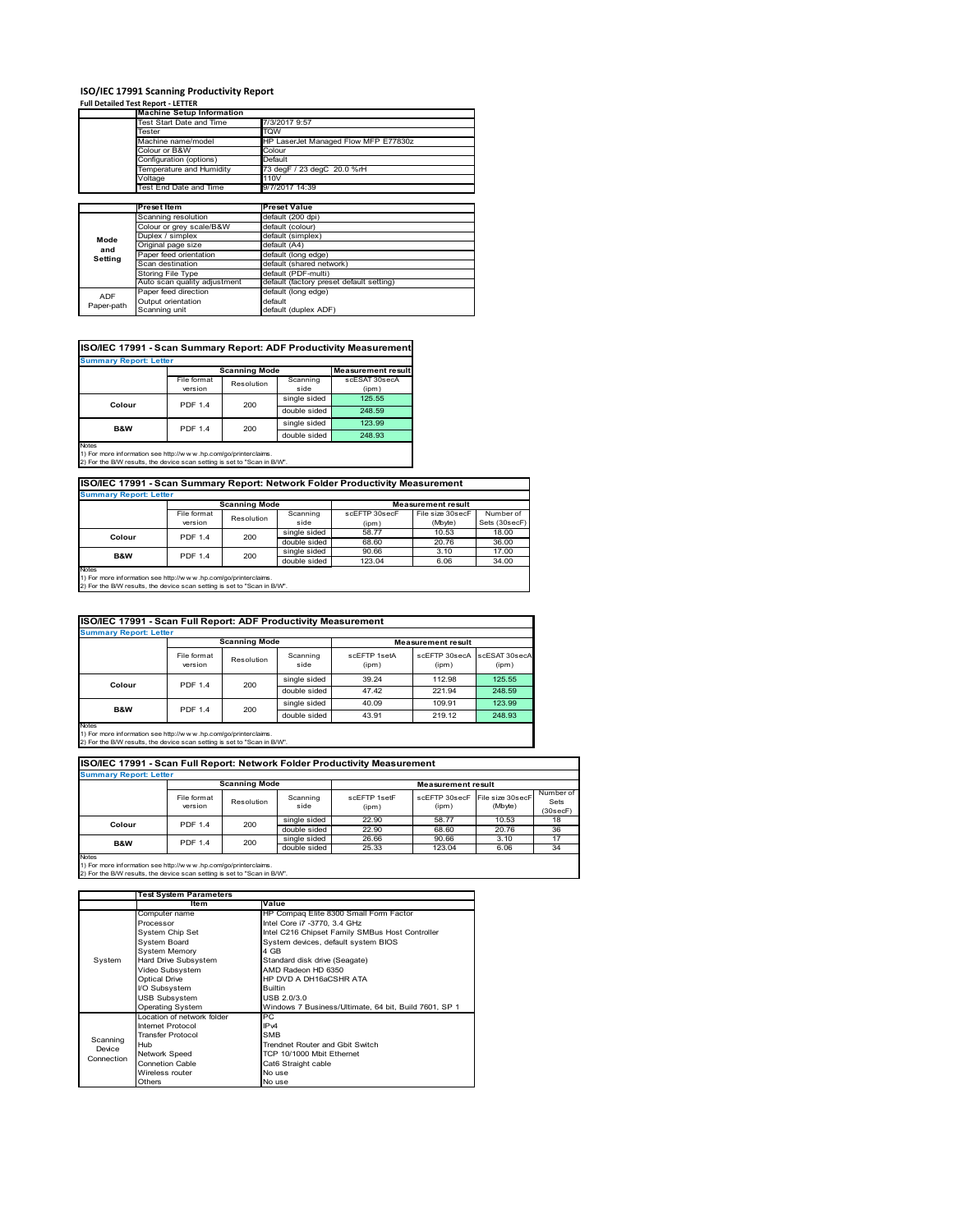# **ISO/IEC 17991 Scanning Productivity Report Full Detailed Test Report ‐ LETTER**

|            | <b>Machine Setup Information</b> |                                          |  |  |  |  |
|------------|----------------------------------|------------------------------------------|--|--|--|--|
|            | Test Start Date and Time         | 7/3/2017 9:57                            |  |  |  |  |
|            | Tester                           | TQW                                      |  |  |  |  |
|            | Machine name/model               | HP LaserJet Managed Flow MFP E77830z     |  |  |  |  |
|            | Colour or B&W                    | Colour                                   |  |  |  |  |
|            | Configuration (options)          | Default                                  |  |  |  |  |
|            | Temperature and Humidity         | 73 degF / 23 degC 20.0 %rH               |  |  |  |  |
|            | Voltage                          | 110V                                     |  |  |  |  |
|            | Test End Date and Time           | 9/7/2017 14:39                           |  |  |  |  |
|            |                                  |                                          |  |  |  |  |
|            | Preset Item                      | <b>Preset Value</b>                      |  |  |  |  |
|            | Scanning resolution              | default (200 dpi)                        |  |  |  |  |
|            | Colour or grey scale/B&W         | default (colour)                         |  |  |  |  |
| Mode       | Duplex / simplex                 | default (simplex)                        |  |  |  |  |
| and        | Original page size               | default (A4)                             |  |  |  |  |
| Setting    | Paper feed orientation           | default (long edge)                      |  |  |  |  |
|            | Scan destination                 | default (shared network)                 |  |  |  |  |
|            | <b>Storing File Type</b>         | default (PDF-multi)                      |  |  |  |  |
|            | Auto scan quality adjustment     | default (factory preset default setting) |  |  |  |  |
| <b>ADF</b> | Paper feed direction             | default (long edge)                      |  |  |  |  |
|            | Output orientation               | default                                  |  |  |  |  |
| Paper-path | Scanning unit                    | default (duplex ADF)                     |  |  |  |  |

| <b>Summary Report: Letter</b> |                |                      |              |                           |  |  |  |  |
|-------------------------------|----------------|----------------------|--------------|---------------------------|--|--|--|--|
|                               |                | <b>Scanning Mode</b> |              | <b>Measurement result</b> |  |  |  |  |
|                               | File format    | Resolution           | Scanning     | scESAT 30secA             |  |  |  |  |
|                               | version        |                      | side         | (ipm)                     |  |  |  |  |
|                               | <b>PDF 1.4</b> | 200                  | single sided | 125.55                    |  |  |  |  |
| Colour                        |                |                      | double sided | 248.59                    |  |  |  |  |
| B&W                           | <b>PDF 1.4</b> | 200                  | single sided | 123.99                    |  |  |  |  |
|                               |                |                      | double sided | 248.93                    |  |  |  |  |

Notes 1) For more information see http://w w w .hp.com/go/printerclaims. 2) For the B/W results, the device scan setting is set to "Scan in B/W".

**ISO/IEC 17991 - Scan Summary Report: Network Folder Productivity Measurement**

| <b>Summary Report: Letter</b> |                      |            |              |                           |                  |               |  |
|-------------------------------|----------------------|------------|--------------|---------------------------|------------------|---------------|--|
|                               | <b>Scanning Mode</b> |            |              | <b>Measurement result</b> |                  |               |  |
|                               | File format          | Resolution | Scanning     | scEFTP 30secF             | File size 30secF | Number of     |  |
|                               | version              |            | side         | (ipm)                     | (Mbyte)          | Sets (30secF) |  |
| Colour                        | <b>PDF 1.4</b>       | 200        | single sided | 58.77                     | 10.53            | 18.00         |  |
|                               |                      |            | double sided | 68.60                     | 20.76            | 36.00         |  |
| B&W                           | <b>PDF 1.4</b>       | 200        | single sided | 90.66                     | 3.10             | 17.00         |  |
|                               |                      |            | double sided | 123.04                    | 6.06             | 34.00         |  |
| <b>Notes</b>                  |                      |            |              |                           |                  |               |  |

┓

Notes 1) For more information see http://w w w .hp.com/go/printerclaims. 2) For the B/W results, the device scan setting is set to "Scan in B/W".

| ISO/IEC 17991 - Scan Full Report: ADF Productivity Measurement |                        |            |                  |                       |                           |                        |  |  |
|----------------------------------------------------------------|------------------------|------------|------------------|-----------------------|---------------------------|------------------------|--|--|
| <b>Summary Report: Letter</b>                                  |                        |            |                  |                       |                           |                        |  |  |
|                                                                | <b>Scanning Mode</b>   |            |                  |                       | <b>Measurement result</b> |                        |  |  |
|                                                                | File format<br>version | Resolution | Scanning<br>side | scFFTP 1setA<br>(ipm) | scEETP 30secA<br>(ipm)    | scESAT 30secA<br>(ipm) |  |  |
|                                                                | <b>PDF 1.4</b>         | 200        | single sided     | 39.24                 | 112.98                    | 125.55                 |  |  |
| Colour                                                         |                        |            | double sided     | 47.42                 | 221.94                    | 248.59                 |  |  |
| <b>B&amp;W</b>                                                 |                        |            | single sided     | 40.09                 | 109.91                    | 123.99                 |  |  |
|                                                                | <b>PDF 1.4</b>         | 200        | double sided     | 43.91                 | 219.12                    | 248.93                 |  |  |
| <b>Notes</b>                                                   |                        |            |                  |                       |                           |                        |  |  |

Notes 1) For more information see http://w w w .hp.com/go/printerclaims. 2) For the B/W results, the device scan setting is set to "Scan in B/W".

| ISO/IEC 17991 - Scan Full Report: Network Folder Productivity Measurement |                        |            |                  |                       |                                         |         |                               |  |
|---------------------------------------------------------------------------|------------------------|------------|------------------|-----------------------|-----------------------------------------|---------|-------------------------------|--|
| <b>Summary Report: Letter</b>                                             |                        |            |                  |                       |                                         |         |                               |  |
|                                                                           | <b>Scanning Mode</b>   |            |                  |                       | <b>Measurement result</b>               |         |                               |  |
|                                                                           | File format<br>version | Resolution | Scanning<br>side | scEETP 1setE<br>(ipm) | scEFTP 30secF File size 30secF<br>(ipm) | (Mbyte) | Number of<br>Sets<br>(30secF) |  |
| Colour                                                                    | <b>PDF 1.4</b>         | 200        | single sided     | 22.90                 | 58.77                                   | 10.53   | 18                            |  |
|                                                                           |                        |            | double sided     | 22.90                 | 68.60                                   | 20.76   | 36                            |  |
| <b>B&amp;W</b>                                                            | <b>PDF 1.4</b>         | 200        | single sided     | 26.66                 | 90.66                                   | 3.10    | 17                            |  |
|                                                                           |                        |            | double sided     | 25.33                 | 123.04                                  | 6.06    | 34                            |  |
| <b>Notes</b>                                                              |                        |            |                  |                       |                                         |         |                               |  |

|            | <b>Test System Parameters</b> |                                                       |  |  |  |
|------------|-------------------------------|-------------------------------------------------------|--|--|--|
|            | Item                          | Value                                                 |  |  |  |
|            | Computer name                 | HP Compaq Elite 8300 Small Form Factor                |  |  |  |
|            | Processor                     | Intel Core i7 -3770, 3.4 GHz                          |  |  |  |
|            | System Chip Set               | Intel C216 Chipset Family SMBus Host Controller       |  |  |  |
|            | <b>System Board</b>           | System devices, default system BIOS                   |  |  |  |
|            | <b>System Memory</b>          | 4 GB                                                  |  |  |  |
| System     | Hard Drive Subsystem          | Standard disk drive (Seagate)                         |  |  |  |
|            | Video Subsystem               | AMD Radeon HD 6350                                    |  |  |  |
|            | Optical Drive                 | HP DVD A DH16aCSHR ATA                                |  |  |  |
|            | I/O Subsystem                 | <b>Builtin</b>                                        |  |  |  |
|            | <b>USB Subsystem</b>          | USB 2.0/3.0                                           |  |  |  |
|            | Operating System              | Windows 7 Business/Ultimate, 64 bit, Build 7601, SP 1 |  |  |  |
|            | I ocation of network folder   | PC                                                    |  |  |  |
|            | Internet Protocol             | IP <sub>v4</sub>                                      |  |  |  |
| Scanning   | <b>Transfer Protocol</b>      | <b>SMB</b>                                            |  |  |  |
| Device     | Hub                           | Trendnet Router and Gbit Switch                       |  |  |  |
| Connection | Network Speed                 | TCP 10/1000 Mbit Ethernet                             |  |  |  |
|            | <b>Connetion Cable</b>        | Cat6 Straight cable                                   |  |  |  |
|            | Wireless router               | No use                                                |  |  |  |
|            | Others                        | No use                                                |  |  |  |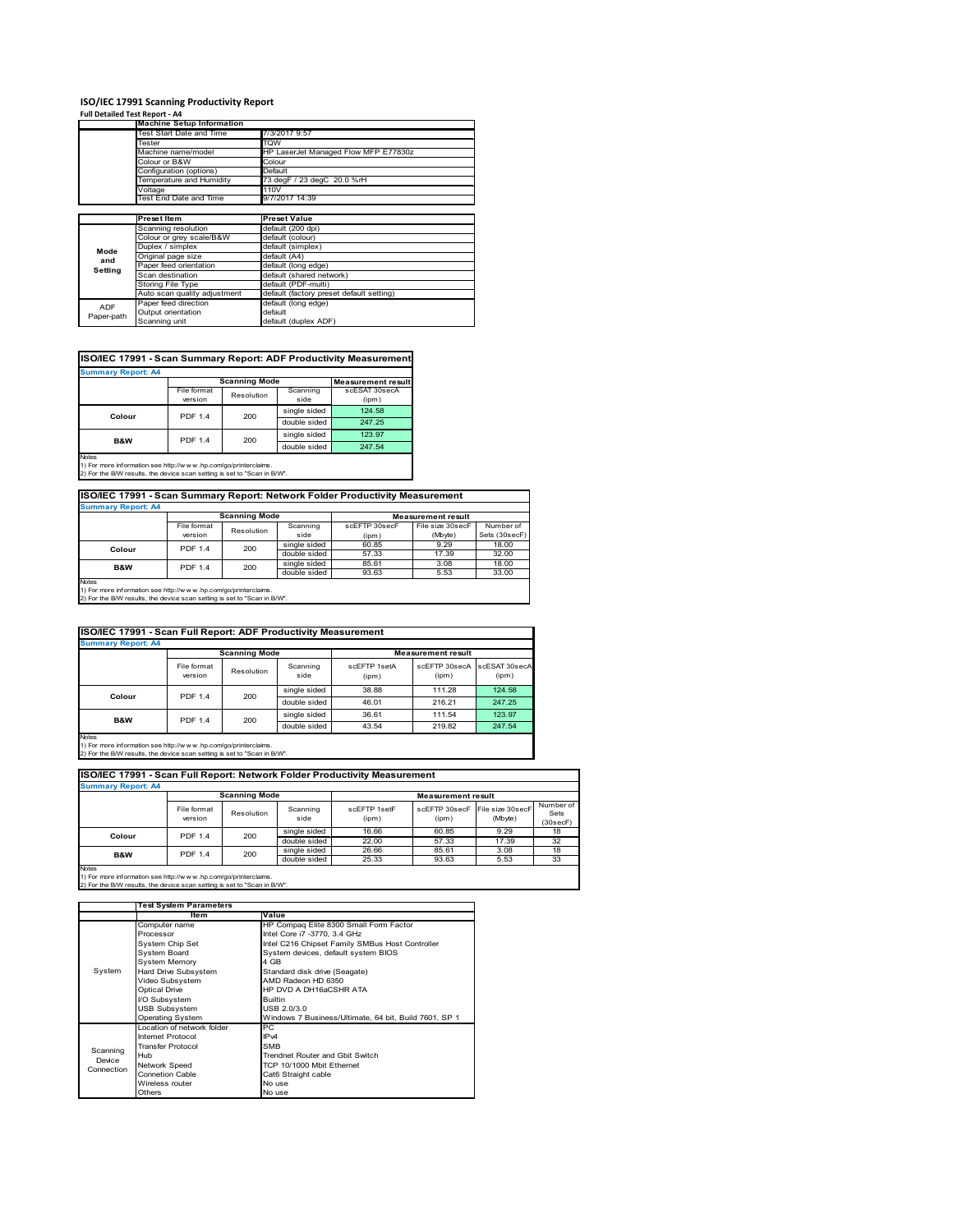### **ISO/IEC 17991 Scanning Productivity Report**

| Full Detailed Test Report - A4 |                                  |                                          |  |  |
|--------------------------------|----------------------------------|------------------------------------------|--|--|
|                                | <b>Machine Setup Information</b> |                                          |  |  |
|                                | <b>Test Start Date and Time</b>  | 7/3/2017 9:57                            |  |  |
|                                | Tester                           | TQW                                      |  |  |
|                                | Machine name/model               | HP LaserJet Managed Flow MFP E77830z     |  |  |
|                                | Colour or B&W                    | Colour                                   |  |  |
|                                | Configuration (options)          | Default                                  |  |  |
|                                | Temperature and Humidity         | 73 degF / 23 degC 20.0 %rH               |  |  |
|                                | Voltage                          | 110V                                     |  |  |
|                                | Test End Date and Time           | 9/7/2017 14:39                           |  |  |
|                                |                                  |                                          |  |  |
|                                | <b>Preset Item</b>               | <b>Preset Value</b>                      |  |  |
|                                | Scanning resolution              | default (200 dpi)                        |  |  |
|                                | Colour or grey scale/B&W         | default (colour)                         |  |  |
| Mode                           | Duplex / simplex                 | default (simplex)                        |  |  |
| and                            | Original page size               | default (A4)                             |  |  |
| Setting                        | Paper feed orientation           | default (long edge)                      |  |  |
|                                | Scan destination                 | default (shared network)                 |  |  |
|                                | Storing File Type                | default (PDF-multi)                      |  |  |
|                                | Auto scan quality adjustment     | default (factory preset default setting) |  |  |
| ADF                            | Paper feed direction             | default (long edge)                      |  |  |
| Paper-path                     | Output orientation               | default                                  |  |  |
|                                | Scanning unit                    | default (duplex ADF)                     |  |  |

## **ISO/IEC 17991 - Scan Summary Report: ADF Productivity Measurement**

| <b>Summary Report: A4</b> |                        |                      |                  |                           |  |  |  |
|---------------------------|------------------------|----------------------|------------------|---------------------------|--|--|--|
|                           |                        | <b>Scanning Mode</b> |                  | <b>Measurement result</b> |  |  |  |
|                           | File format<br>version | Resolution           | Scanning<br>side | scESAT 30secA<br>(ipm)    |  |  |  |
| Colour                    | <b>PDF 1.4</b>         | 200                  | single sided     | 124.58                    |  |  |  |
|                           |                        |                      | double sided     | 247.25                    |  |  |  |
| <b>B&amp;W</b>            | <b>PDF 1.4</b>         | 200                  | single sided     | 123.97                    |  |  |  |
|                           |                        |                      | double sided     | 247.54                    |  |  |  |
| <b>Notes</b>              |                        |                      |                  |                           |  |  |  |

1) For more information see http://w w w .hp.com/go/printerclaims. 2) For the B/W results, the device scan setting is set to "Scan in B/W".

## **ISO/IEC 17991 - Scan Summary Report: Network Folder Productivity Measurement Summary Report: A4**

| <b>BUILDIARY REDUIT.</b> |                      |            |              |                           |                  |               |  |
|--------------------------|----------------------|------------|--------------|---------------------------|------------------|---------------|--|
|                          | <b>Scanning Mode</b> |            |              | <b>Measurement result</b> |                  |               |  |
|                          | File format          | Resolution | Scanning     | scEFTP 30secF             | File size 30secF | Number of     |  |
|                          | version              |            | side         | (ipm)                     | (Mbyte)          | Sets (30secF) |  |
| Colour                   | <b>PDF 1.4</b>       | 200        | single sided | 60.85                     | 9.29             | 18.00         |  |
|                          |                      |            | double sided | 57.33                     | 17.39            | 32.00         |  |
| B&W                      | <b>PDF 1.4</b>       | 200        | single sided | 85.61                     | 3.08             | 18.00         |  |
|                          |                      |            | double sided | 93.63                     | 5.53             | 33.00         |  |
| <b>Notes</b>             |                      |            |              |                           |                  |               |  |

Notes 1) For more information see http://w w w .hp.com/go/printerclaims. 2) For the B/W results, the device scan setting is set to "Scan in B/W".

| ISO/IEC 17991 - Scan Full Report: ADF Productivity Measurement |                        |            |                  |                       |                           |                        |  |  |
|----------------------------------------------------------------|------------------------|------------|------------------|-----------------------|---------------------------|------------------------|--|--|
| <b>Summary Report: A4</b>                                      |                        |            |                  |                       |                           |                        |  |  |
|                                                                | <b>Scanning Mode</b>   |            |                  |                       | <b>Measurement result</b> |                        |  |  |
|                                                                | File format<br>version | Resolution | Scanning<br>side | scFFTP 1setA<br>(ipm) | scEFTP 30secA<br>(ipm)    | scESAT 30secA<br>(ipm) |  |  |
| Colour                                                         | <b>PDF 1.4</b><br>200  |            | single sided     | 38.88                 | 111.28                    | 124.58                 |  |  |
|                                                                |                        |            | double sided     | 46.01                 | 216.21                    | 247.25                 |  |  |
| <b>B&amp;W</b>                                                 | <b>PDF 1.4</b>         | 200        | single sided     | 36.61                 | 111.54                    | 123.97                 |  |  |
|                                                                |                        |            | double sided     | 43.54                 | 219.82                    | 247.54                 |  |  |
| <b>Notes</b>                                                   |                        |            |                  |                       |                           |                        |  |  |

Notes 1) For more information see http://w w w .hp.com/go/printerclaims. 2) For the B/W results, the device scan setting is set to "Scan in B/W".

| ISO/IEC 17991 - Scan Full Report: Network Folder Productivity Measurement |                        |                      |                  |                       |                           |                                           |                               |  |
|---------------------------------------------------------------------------|------------------------|----------------------|------------------|-----------------------|---------------------------|-------------------------------------------|-------------------------------|--|
| <b>Summary Report: A4</b>                                                 |                        |                      |                  |                       |                           |                                           |                               |  |
|                                                                           |                        | <b>Scanning Mode</b> |                  |                       | <b>Measurement result</b> |                                           |                               |  |
|                                                                           | File format<br>version | Resolution           | Scanning<br>side | scEFTP 1setF<br>(ipm) | (ipm)                     | scEFTP 30secF File size 30secF<br>(Mbyte) | Number of<br>Sets<br>(30secF) |  |
| Colour                                                                    | <b>PDF 1.4</b>         | 200                  | single sided     | 16.66                 | 60.85                     | 9.29                                      | 18                            |  |
|                                                                           |                        |                      | double sided     | 22.00                 | 57.33                     | 17.39                                     | 32                            |  |
| <b>B&amp;W</b>                                                            | <b>PDF 1.4</b>         | 200                  | single sided     | 26.66                 | 85.61                     | 3.08                                      | 18                            |  |
|                                                                           |                        |                      | double sided     | 25.33                 | 93.63                     | 5.53                                      | 33                            |  |
| <b>Notes</b>                                                              |                        |                      |                  |                       |                           |                                           |                               |  |

|            | <b>Test System Parameters</b> |                                                       |  |  |
|------------|-------------------------------|-------------------------------------------------------|--|--|
|            | ltem                          | Value                                                 |  |  |
|            | Computer name                 | HP Compaq Elite 8300 Small Form Factor                |  |  |
|            | Processor                     | Intel Core i7 -3770, 3.4 GHz                          |  |  |
|            | System Chip Set               | Intel C216 Chipset Family SMBus Host Controller       |  |  |
|            | System Board                  | System devices, default system BIOS                   |  |  |
|            | <b>System Memory</b>          | 4 GB                                                  |  |  |
| System     | Hard Drive Subsystem          | Standard disk drive (Seagate)                         |  |  |
|            | Video Subsystem               | AMD Radeon HD 6350                                    |  |  |
|            | <b>Optical Drive</b>          | HP DVD A DH16aCSHR ATA                                |  |  |
|            | I/O Subsystem                 | <b>Builtin</b>                                        |  |  |
|            | <b>USB Subsystem</b>          | USB 2.0/3.0                                           |  |  |
|            | <b>Operating System</b>       | Windows 7 Business/Ultimate, 64 bit, Build 7601, SP 1 |  |  |
|            | I ocation of network folder   | РC                                                    |  |  |
|            | <b>Internet Protocol</b>      | IP <sub>v4</sub>                                      |  |  |
| Scanning   | <b>Transfer Protocol</b>      | <b>SMB</b>                                            |  |  |
| Device     | Hub                           | Trendnet Router and Gbit Switch                       |  |  |
| Connection | Network Speed                 | TCP 10/1000 Mbit Ethernet                             |  |  |
|            | <b>Connetion Cable</b>        | Cat6 Straight cable                                   |  |  |
|            | Wireless router               | No use                                                |  |  |
|            | Others                        | No use                                                |  |  |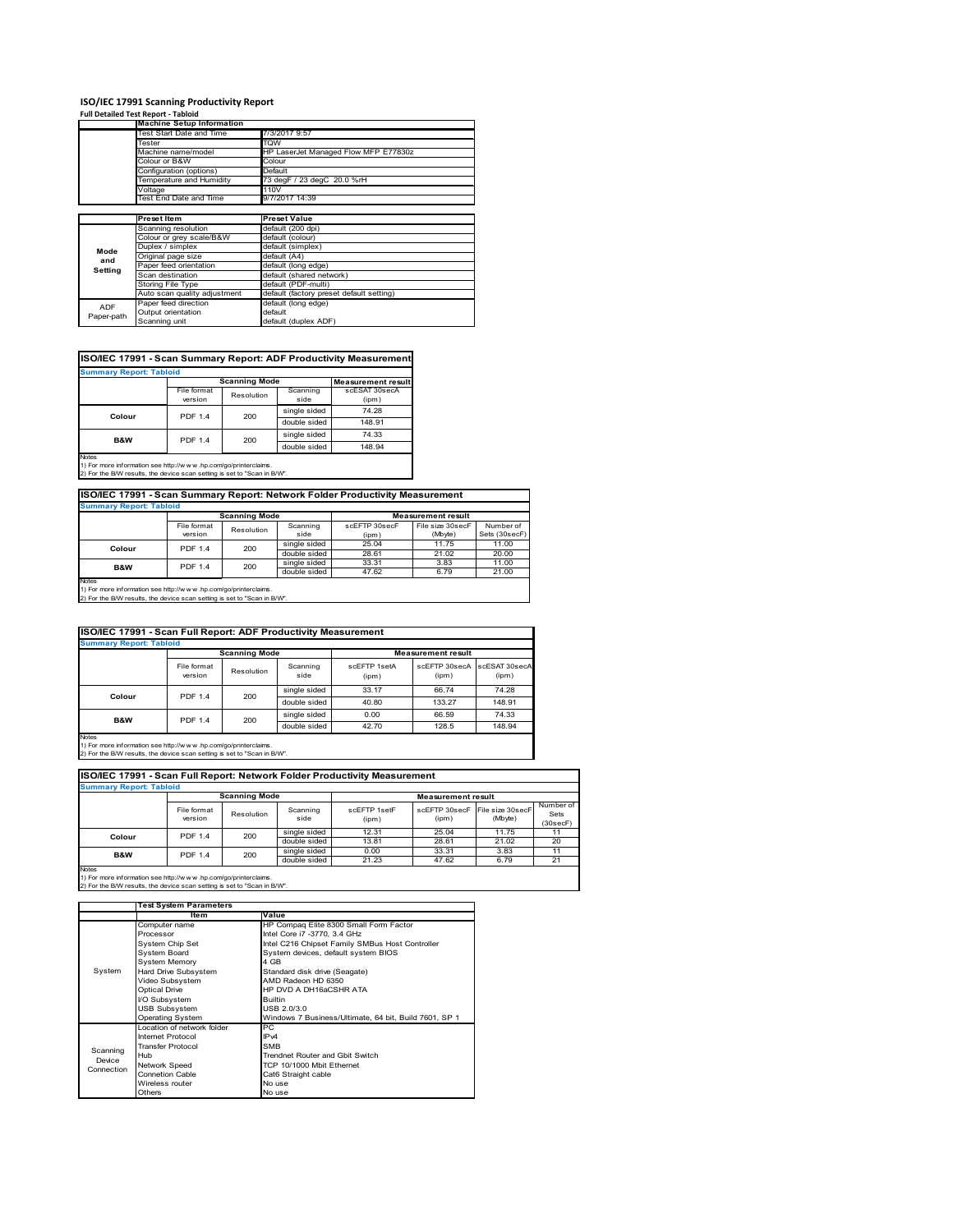### **ISO/IEC 17991 Scanning Productivity Report**

|            | <b>Full Detailed Test Report - Tabloid</b> |                                          |
|------------|--------------------------------------------|------------------------------------------|
|            | <b>Machine Setup Information</b>           |                                          |
|            | Test Start Date and Time                   | 7/3/2017 9:57                            |
|            | Tester                                     | <b>TQW</b>                               |
|            | Machine name/model                         | HP LaserJet Managed Flow MFP E77830z     |
|            | Colour or B&W                              | Colour                                   |
|            | Configuration (options)                    | Default                                  |
|            | Temperature and Humidity                   | 73 degF / 23 degC 20.0 %rH               |
|            | Voltage                                    | 110V                                     |
|            | Test End Date and Time                     | 9/7/2017 14:39                           |
|            |                                            |                                          |
|            | <b>Preset Item</b>                         | <b>Preset Value</b>                      |
|            | Scanning resolution                        | default (200 dpi)                        |
|            | Colour or grey scale/B&W                   | default (colour)                         |
| Mode       | Duplex / simplex                           | default (simplex)                        |
| and        | Original page size                         | default (A4)                             |
| Setting    | Paper feed orientation                     | default (long edge)                      |
|            | Scan destination                           | default (shared network)                 |
|            | <b>Storing File Type</b>                   | default (PDF-multi)                      |
|            | Auto scan quality adjustment               | default (factory preset default setting) |
| <b>ADF</b> | Paper feed direction                       | default (long edge)                      |
| Paper-path | Output orientation                         | default                                  |
|            |                                            |                                          |

## **ISO/IEC 17991 - Scan Summary Report: ADF Productivity Measurement**

| <b>Summary Report: Tabloid</b> |                        |                      |                  |                        |  |  |
|--------------------------------|------------------------|----------------------|------------------|------------------------|--|--|
|                                |                        | <b>Scanning Mode</b> |                  |                        |  |  |
|                                | File format<br>version | Resolution           | Scanning<br>side | scESAT 30secA<br>(ipm) |  |  |
| Colour                         | <b>PDF 1.4</b>         |                      | single sided     | 74.28                  |  |  |
|                                |                        | 200                  | double sided     | 148.91                 |  |  |
| <b>B&amp;W</b>                 | <b>PDF 1.4</b>         | 200                  | single sided     | 74.33                  |  |  |
|                                |                        |                      | double sided     | 148.94                 |  |  |
| Notes                          |                        |                      |                  |                        |  |  |

Notes 1) For more information see http://w w w .hp.com/go/printerclaims. 2) For the B/W results, the device scan setting is set to "Scan in B/W".

## **ISO/IEC 17991 - Scan Summary Report: Network Folder Productivity Measurement**

default (duplex ADF)

| <b>Summary Report: Tabloid</b> |                          |            |              |                           |                  |               |  |
|--------------------------------|--------------------------|------------|--------------|---------------------------|------------------|---------------|--|
|                                | <b>Scanning Mode</b>     |            |              | <b>Measurement result</b> |                  |               |  |
|                                | File format              | Resolution | Scanning     | scEFTP 30secF             | File size 30secF | Number of     |  |
|                                | version                  |            | side         | (ipm)                     | (Mbyte)          | Sets (30secF) |  |
|                                | <b>PDF 1.4</b><br>Colour | 200        | single sided | 25.04                     | 11.75            | 11.00         |  |
|                                |                          |            | double sided | 28.61                     | 21.02            | 20.00         |  |
| <b>B&amp;W</b>                 | <b>PDF 1.4</b>           | 200        | single sided | 33.31                     | 3.83             | 11.00         |  |
|                                |                          |            | double sided | 47.62                     | 6.79             | 21.00         |  |
| Notes                          |                          |            |              |                           |                  |               |  |

Notes 1) For more information see http://w w w .hp.com/go/printerclaims. 2) For the B/W results, the device scan setting is set to "Scan in B/W".

| <b>ISO/IEC 17991 - Scan Full Report: ADF Productivity Measurement</b> |                                  |            |                  |                       |                                      |        |  |  |
|-----------------------------------------------------------------------|----------------------------------|------------|------------------|-----------------------|--------------------------------------|--------|--|--|
| <b>Summary Report: Tabloid</b>                                        |                                  |            |                  |                       |                                      |        |  |  |
|                                                                       | <b>Scanning Mode</b>             |            |                  |                       | <b>Measurement result</b>            |        |  |  |
|                                                                       | File format<br>version           | Resolution | Scanning<br>side | scFFTP 1setA<br>(ipm) | scEFTP 30secA scESAT 30secA<br>(ipm) | (ipm)  |  |  |
| Colour                                                                | 200<br><b>PDF 1.4</b>            |            | single sided     | 33.17                 | 66.74                                | 74.28  |  |  |
|                                                                       |                                  |            | double sided     | 40.80                 | 133.27                               | 148.91 |  |  |
|                                                                       | <b>B&amp;W</b><br><b>PDF 1.4</b> | 200        | single sided     | 0.00                  | 66.59                                | 74.33  |  |  |
|                                                                       |                                  |            | double sided     | 42.70                 | 128.5                                | 148.94 |  |  |
| Notes                                                                 |                                  |            |                  |                       |                                      |        |  |  |

Notes 1) For more information see http://w w w .hp.com/go/printerclaims. 2) For the B/W results, the device scan setting is set to "Scan in B/W".

| ISO/IEC 17991 - Scan Full Report: Network Folder Productivity Measurement |                        |                      |                  |                       |                                         |         |                               |  |
|---------------------------------------------------------------------------|------------------------|----------------------|------------------|-----------------------|-----------------------------------------|---------|-------------------------------|--|
| <b>Summary Report: Tabloid</b>                                            |                        |                      |                  |                       |                                         |         |                               |  |
|                                                                           |                        | <b>Scanning Mode</b> |                  |                       | <b>Measurement result</b>               |         |                               |  |
|                                                                           | File format<br>version | Resolution           | Scanning<br>side | scFFTP 1setF<br>(ipm) | scEFTP 30secF File size 30secF<br>(ipm) | (Mbyte) | Number of<br>Sets<br>(30secF) |  |
| Colour                                                                    | <b>PDF 1.4</b>         | 200                  | single sided     | 12.31                 | 25.04                                   | 11.75   | 11                            |  |
|                                                                           |                        |                      | double sided     | 13.81                 | 28.61                                   | 21.02   | 20                            |  |
| <b>PDF 1.4</b><br><b>B&amp;W</b>                                          |                        | 200                  | single sided     | 0.00                  | 33.31                                   | 3.83    | 11                            |  |
|                                                                           |                        |                      | double sided     | 21.23                 | 47.62                                   | 6.79    | 21                            |  |
| <b>Notes</b>                                                              |                        |                      |                  |                       |                                         |         |                               |  |

|            | <b>Test System Parameters</b> |                                                       |  |  |  |
|------------|-------------------------------|-------------------------------------------------------|--|--|--|
|            | <b>Item</b>                   | Value                                                 |  |  |  |
|            | Computer name                 | HP Compaq Elite 8300 Small Form Factor                |  |  |  |
|            | Processor                     | Intel Core i7 -3770, 3.4 GHz                          |  |  |  |
|            | System Chip Set               | Intel C216 Chipset Family SMBus Host Controller       |  |  |  |
|            | <b>System Board</b>           | System devices, default system BIOS                   |  |  |  |
|            | <b>System Memory</b>          | 4 GB                                                  |  |  |  |
| System     | Hard Drive Subsystem          | Standard disk drive (Seagate)                         |  |  |  |
|            | Video Subsystem               | AMD Radeon HD 6350                                    |  |  |  |
|            | <b>Optical Drive</b>          | HP DVD A DH16aCSHR ATA                                |  |  |  |
|            | I/O Subsystem                 | <b>Builtin</b>                                        |  |  |  |
|            | <b>USB Subsystem</b>          | USB 2.0/3.0                                           |  |  |  |
|            | <b>Operating System</b>       | Windows 7 Business/Ultimate, 64 bit, Build 7601, SP 1 |  |  |  |
|            | ocation of network folder     | РC                                                    |  |  |  |
|            | Internet Protocol             | IP <sub>v4</sub>                                      |  |  |  |
| Scanning   | <b>Transfer Protocol</b>      | <b>SMB</b>                                            |  |  |  |
| Device     | Hub                           | Trendnet Router and Gbit Switch                       |  |  |  |
| Connection | Network Speed                 | TCP 10/1000 Mbit Ethernet                             |  |  |  |
|            | <b>Connetion Cable</b>        | Cat6 Straight cable                                   |  |  |  |
|            | Wireless router               | No use                                                |  |  |  |
|            | Others                        | No use                                                |  |  |  |